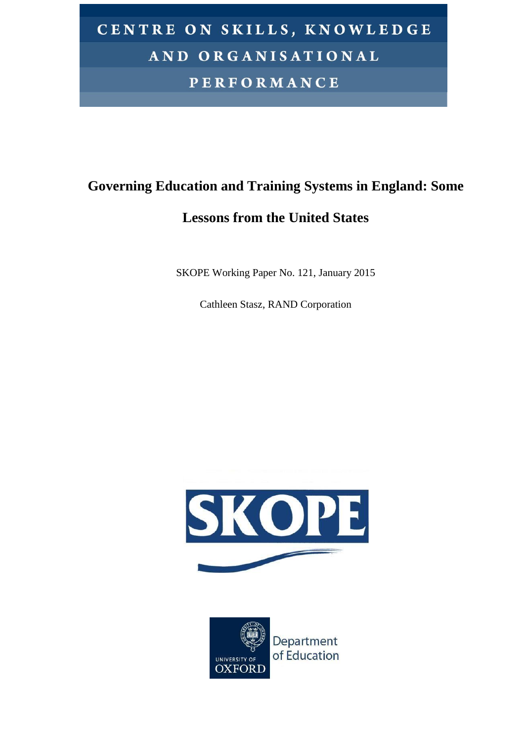# CENTRE ON SKILLS, KNOWLEDGE AND ORGANISATIONAL **PERFORMANCE**

# **Governing Education and Training Systems in England: Some**

# **Lessons from the United States**

SKOPE Working Paper No. 121, January 2015

Cathleen Stasz, RAND Corporation



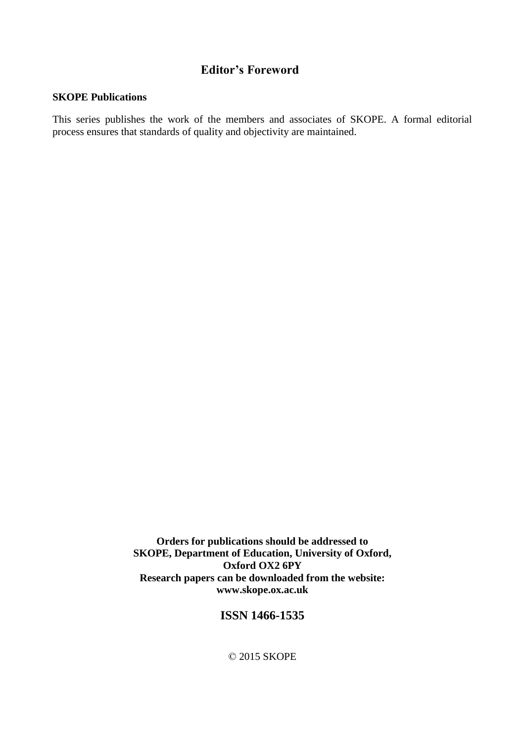# **Editor's Foreword**

#### **SKOPE Publications**

This series publishes the work of the members and associates of SKOPE. A formal editorial process ensures that standards of quality and objectivity are maintained.

> **Orders for publications should be addressed to SKOPE, Department of Education, University of Oxford, Oxford OX2 6PY Research papers can be downloaded from the website: www.skope.ox.ac.uk**

## **ISSN 1466-1535**

© 2015 SKOPE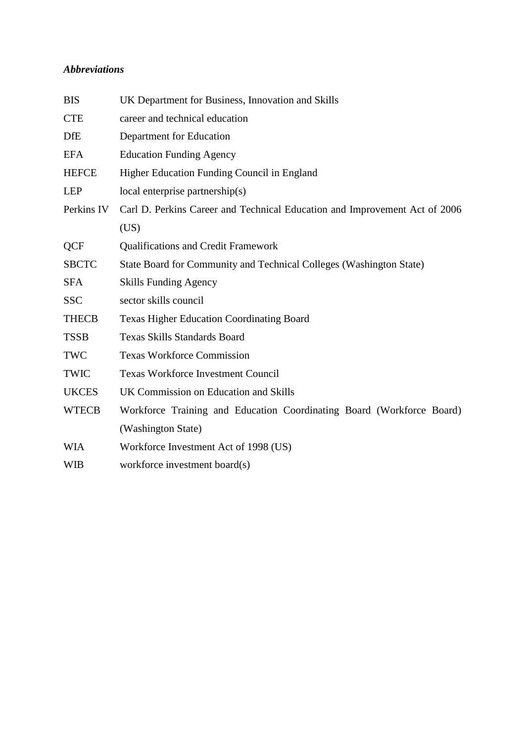## *Abbreviations*

| UK Department for Business, Innovation and Skills                          |  |  |
|----------------------------------------------------------------------------|--|--|
| career and technical education                                             |  |  |
| Department for Education                                                   |  |  |
| <b>Education Funding Agency</b>                                            |  |  |
| Higher Education Funding Council in England                                |  |  |
| $local$ enterprise partnership $(s)$                                       |  |  |
| Carl D. Perkins Career and Technical Education and Improvement Act of 2006 |  |  |
| (US)                                                                       |  |  |
| <b>Qualifications and Credit Framework</b>                                 |  |  |
| State Board for Community and Technical Colleges (Washington State)        |  |  |
| <b>Skills Funding Agency</b>                                               |  |  |
| sector skills council                                                      |  |  |
| <b>Texas Higher Education Coordinating Board</b>                           |  |  |
| <b>Texas Skills Standards Board</b>                                        |  |  |
| <b>Texas Workforce Commission</b>                                          |  |  |
| Texas Workforce Investment Council                                         |  |  |
| UK Commission on Education and Skills                                      |  |  |
| Workforce Training and Education Coordinating Board (Workforce Board)      |  |  |
| (Washington State)                                                         |  |  |
| Workforce Investment Act of 1998 (US)                                      |  |  |
| workforce investment board(s)                                              |  |  |
|                                                                            |  |  |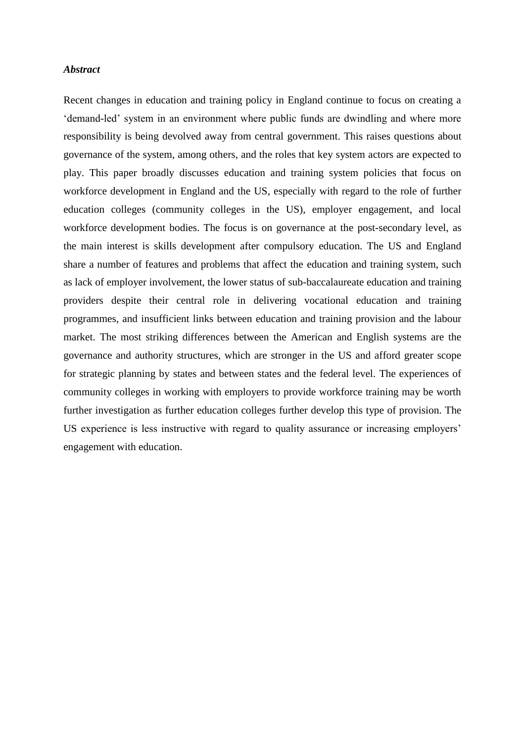#### *Abstract*

Recent changes in education and training policy in England continue to focus on creating a 'demand-led' system in an environment where public funds are dwindling and where more responsibility is being devolved away from central government. This raises questions about governance of the system, among others, and the roles that key system actors are expected to play. This paper broadly discusses education and training system policies that focus on workforce development in England and the US, especially with regard to the role of further education colleges (community colleges in the US), employer engagement, and local workforce development bodies. The focus is on governance at the post-secondary level, as the main interest is skills development after compulsory education. The US and England share a number of features and problems that affect the education and training system, such as lack of employer involvement, the lower status of sub-baccalaureate education and training providers despite their central role in delivering vocational education and training programmes, and insufficient links between education and training provision and the labour market. The most striking differences between the American and English systems are the governance and authority structures, which are stronger in the US and afford greater scope for strategic planning by states and between states and the federal level. The experiences of community colleges in working with employers to provide workforce training may be worth further investigation as further education colleges further develop this type of provision. The US experience is less instructive with regard to quality assurance or increasing employers' engagement with education.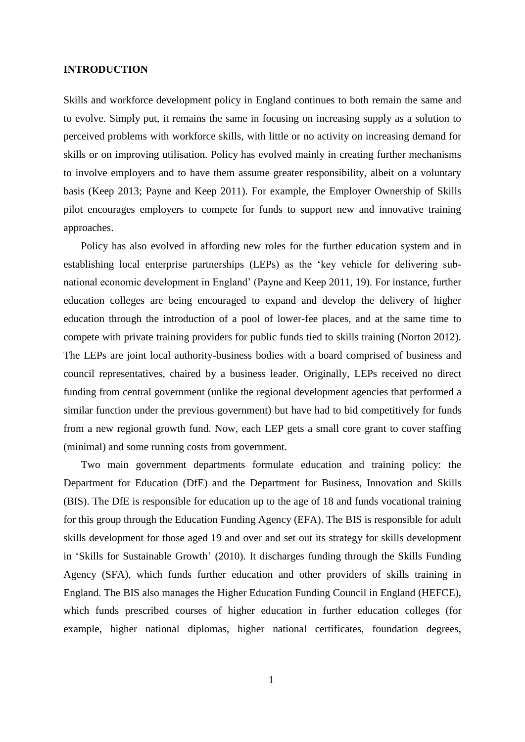#### **INTRODUCTION**

Skills and workforce development policy in England continues to both remain the same and to evolve. Simply put, it remains the same in focusing on increasing supply as a solution to perceived problems with workforce skills, with little or no activity on increasing demand for skills or on improving utilisation. Policy has evolved mainly in creating further mechanisms to involve employers and to have them assume greater responsibility, albeit on a voluntary basis (Keep 2013; Payne and Keep 2011). For example, the Employer Ownership of Skills pilot encourages employers to compete for funds to support new and innovative training approaches.

Policy has also evolved in affording new roles for the further education system and in establishing local enterprise partnerships (LEPs) as the 'key vehicle for delivering subnational economic development in England' (Payne and Keep 2011, 19). For instance, further education colleges are being encouraged to expand and develop the delivery of higher education through the introduction of a pool of lower-fee places, and at the same time to compete with private training providers for public funds tied to skills training (Norton 2012). The LEPs are joint local authority-business bodies with a board comprised of business and council representatives, chaired by a business leader. Originally, LEPs received no direct funding from central government (unlike the regional development agencies that performed a similar function under the previous government) but have had to bid competitively for funds from a new regional growth fund. Now, each LEP gets a small core grant to cover staffing (minimal) and some running costs from government.

Two main government departments formulate education and training policy: the Department for Education (DfE) and the Department for Business, Innovation and Skills (BIS). The DfE is responsible for education up to the age of 18 and funds vocational training for this group through the Education Funding Agency (EFA). The BIS is responsible for adult skills development for those aged 19 and over and set out its strategy for skills development in 'Skills for Sustainable Growth' (2010). It discharges funding through the Skills Funding Agency (SFA), which funds further education and other providers of skills training in England. The BIS also manages the Higher Education Funding Council in England (HEFCE), which funds prescribed courses of higher education in further education colleges (for example, higher national diplomas, higher national certificates, foundation degrees,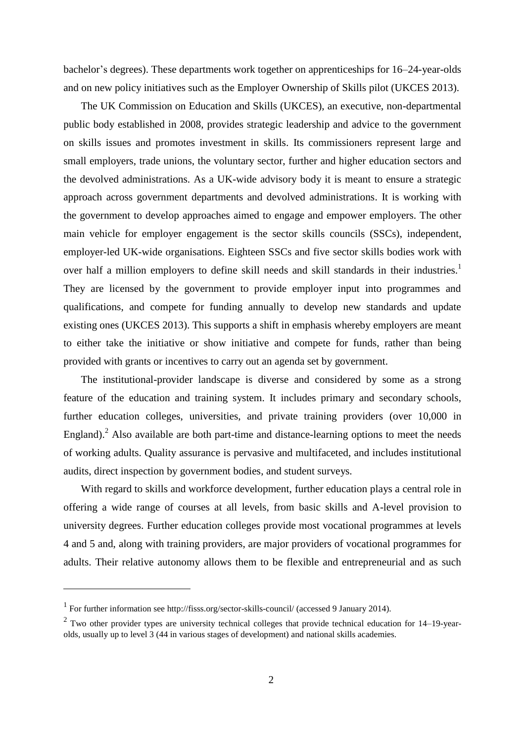bachelor's degrees). These departments work together on apprenticeships for 16–24-year-olds and on new policy initiatives such as the Employer Ownership of Skills pilot (UKCES 2013).

The UK Commission on Education and Skills (UKCES), an executive, non-departmental public body established in 2008, provides strategic leadership and advice to the government on skills issues and promotes investment in skills. Its commissioners represent large and small employers, trade unions, the voluntary sector, further and higher education sectors and the devolved administrations. As a UK-wide advisory body it is meant to ensure a strategic approach across government departments and devolved administrations. It is working with the government to develop approaches aimed to engage and empower employers. The other main vehicle for employer engagement is the sector skills councils (SSCs), independent, employer-led UK-wide organisations. Eighteen SSCs and five sector skills bodies work with over half a million employers to define skill needs and skill standards in their industries.<sup>1</sup> They are licensed by the government to provide employer input into programmes and qualifications, and compete for funding annually to develop new standards and update existing ones (UKCES 2013). This supports a shift in emphasis whereby employers are meant to either take the initiative or show initiative and compete for funds, rather than being provided with grants or incentives to carry out an agenda set by government.

The institutional-provider landscape is diverse and considered by some as a strong feature of the education and training system. It includes primary and secondary schools, further education colleges, universities, and private training providers (over 10,000 in England). $^2$  Also available are both part-time and distance-learning options to meet the needs of working adults. Quality assurance is pervasive and multifaceted, and includes institutional audits, direct inspection by government bodies, and student surveys.

With regard to skills and workforce development, further education plays a central role in offering a wide range of courses at all levels, from basic skills and A-level provision to university degrees. Further education colleges provide most vocational programmes at levels 4 and 5 and, along with training providers, are major providers of vocational programmes for adults. Their relative autonomy allows them to be flexible and entrepreneurial and as such

1

<sup>1</sup> For further information see http://fisss.org/sector-skills-council/ (accessed 9 January 2014).

 $2$  Two other provider types are university technical colleges that provide technical education for 14–19-yearolds, usually up to level 3 (44 in various stages of development) and national skills academies.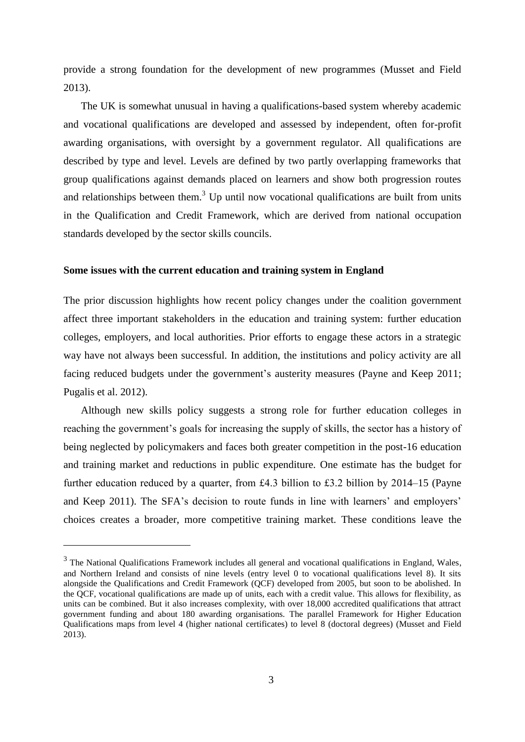provide a strong foundation for the development of new programmes (Musset and Field 2013).

The UK is somewhat unusual in having a qualifications-based system whereby academic and vocational qualifications are developed and assessed by independent, often for-profit awarding organisations, with oversight by a government regulator. All qualifications are described by type and level. Levels are defined by two partly overlapping frameworks that group qualifications against demands placed on learners and show both progression routes and relationships between them. $3$  Up until now vocational qualifications are built from units in the Qualification and Credit Framework, which are derived from national occupation standards developed by the sector skills councils.

#### **Some issues with the current education and training system in England**

The prior discussion highlights how recent policy changes under the coalition government affect three important stakeholders in the education and training system: further education colleges, employers, and local authorities. Prior efforts to engage these actors in a strategic way have not always been successful. In addition, the institutions and policy activity are all facing reduced budgets under the government's austerity measures (Payne and Keep 2011; Pugalis et al. 2012).

Although new skills policy suggests a strong role for further education colleges in reaching the government's goals for increasing the supply of skills, the sector has a history of being neglected by policymakers and faces both greater competition in the post-16 education and training market and reductions in public expenditure. One estimate has the budget for further education reduced by a quarter, from £4.3 billion to £3.2 billion by 2014–15 (Payne and Keep 2011). The SFA's decision to route funds in line with learners' and employers' choices creates a broader, more competitive training market. These conditions leave the

1

<sup>&</sup>lt;sup>3</sup> The National Qualifications Framework includes all general and vocational qualifications in England, Wales, and Northern Ireland and consists of nine levels (entry level 0 to vocational qualifications level 8). It sits alongside the Qualifications and Credit Framework (QCF) developed from 2005, but soon to be abolished. In the QCF, vocational qualifications are made up of units, each with a credit value. This allows for flexibility, as units can be combined. But it also increases complexity, with over 18,000 accredited qualifications that attract government funding and about 180 awarding organisations. The parallel Framework for Higher Education Qualifications maps from level 4 (higher national certificates) to level 8 (doctoral degrees) (Musset and Field 2013).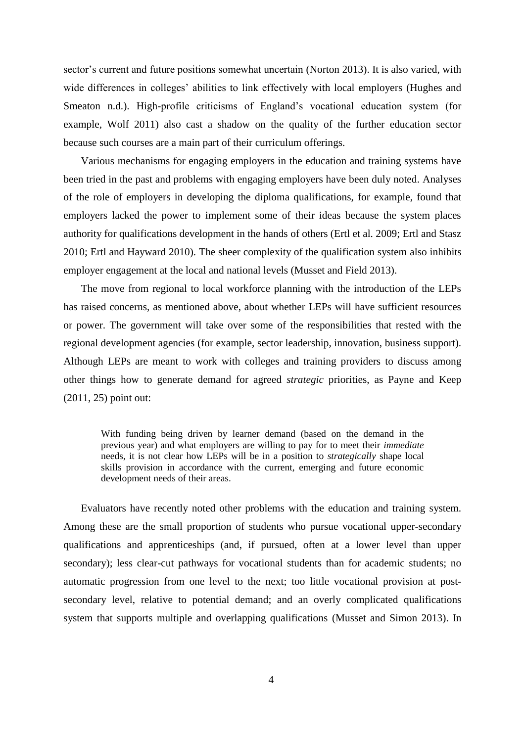sector's current and future positions somewhat uncertain (Norton 2013). It is also varied, with wide differences in colleges' abilities to link effectively with local employers (Hughes and Smeaton n.d.). High-profile criticisms of England's vocational education system (for example, Wolf 2011) also cast a shadow on the quality of the further education sector because such courses are a main part of their curriculum offerings.

Various mechanisms for engaging employers in the education and training systems have been tried in the past and problems with engaging employers have been duly noted. Analyses of the role of employers in developing the diploma qualifications, for example, found that employers lacked the power to implement some of their ideas because the system places authority for qualifications development in the hands of others (Ertl et al. 2009; Ertl and Stasz 2010; Ertl and Hayward 2010). The sheer complexity of the qualification system also inhibits employer engagement at the local and national levels (Musset and Field 2013).

The move from regional to local workforce planning with the introduction of the LEPs has raised concerns, as mentioned above, about whether LEPs will have sufficient resources or power. The government will take over some of the responsibilities that rested with the regional development agencies (for example, sector leadership, innovation, business support). Although LEPs are meant to work with colleges and training providers to discuss among other things how to generate demand for agreed *strategic* priorities, as Payne and Keep (2011, 25) point out:

With funding being driven by learner demand (based on the demand in the previous year) and what employers are willing to pay for to meet their *immediate*  needs, it is not clear how LEPs will be in a position to *strategically* shape local skills provision in accordance with the current, emerging and future economic development needs of their areas.

Evaluators have recently noted other problems with the education and training system. Among these are the small proportion of students who pursue vocational upper-secondary qualifications and apprenticeships (and, if pursued, often at a lower level than upper secondary); less clear-cut pathways for vocational students than for academic students; no automatic progression from one level to the next; too little vocational provision at postsecondary level, relative to potential demand; and an overly complicated qualifications system that supports multiple and overlapping qualifications (Musset and Simon 2013). In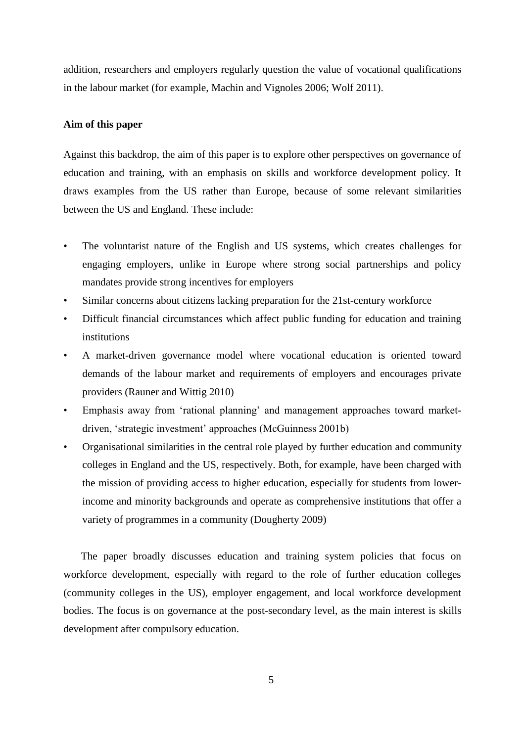addition, researchers and employers regularly question the value of vocational qualifications in the labour market (for example, Machin and Vignoles 2006; Wolf 2011).

#### **Aim of this paper**

Against this backdrop, the aim of this paper is to explore other perspectives on governance of education and training, with an emphasis on skills and workforce development policy. It draws examples from the US rather than Europe, because of some relevant similarities between the US and England. These include:

- The voluntarist nature of the English and US systems, which creates challenges for engaging employers, unlike in Europe where strong social partnerships and policy mandates provide strong incentives for employers
- Similar concerns about citizens lacking preparation for the 21st-century workforce
- Difficult financial circumstances which affect public funding for education and training institutions
- A market-driven governance model where vocational education is oriented toward demands of the labour market and requirements of employers and encourages private providers (Rauner and Wittig 2010)
- Emphasis away from 'rational planning' and management approaches toward marketdriven, 'strategic investment' approaches (McGuinness 2001b)
- Organisational similarities in the central role played by further education and community colleges in England and the US, respectively. Both, for example, have been charged with the mission of providing access to higher education, especially for students from lowerincome and minority backgrounds and operate as comprehensive institutions that offer a variety of programmes in a community (Dougherty 2009)

The paper broadly discusses education and training system policies that focus on workforce development, especially with regard to the role of further education colleges (community colleges in the US), employer engagement, and local workforce development bodies. The focus is on governance at the post-secondary level, as the main interest is skills development after compulsory education.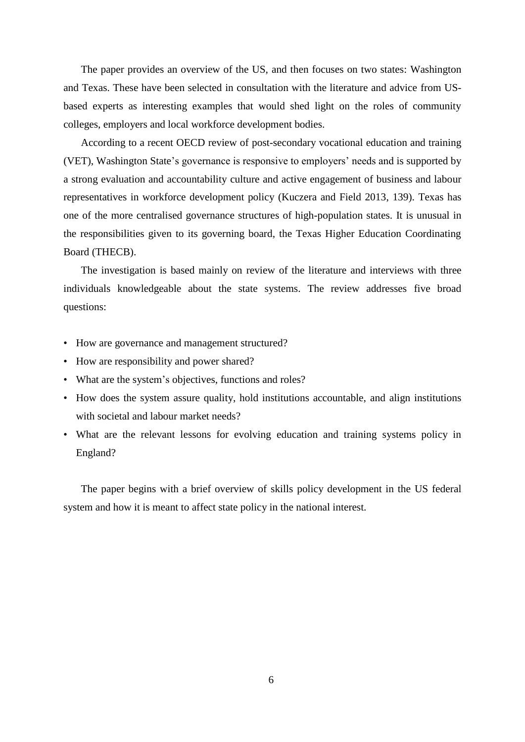The paper provides an overview of the US, and then focuses on two states: Washington and Texas. These have been selected in consultation with the literature and advice from USbased experts as interesting examples that would shed light on the roles of community colleges, employers and local workforce development bodies.

According to a recent OECD review of post-secondary vocational education and training (VET), Washington State's governance is responsive to employers' needs and is supported by a strong evaluation and accountability culture and active engagement of business and labour representatives in workforce development policy (Kuczera and Field 2013, 139). Texas has one of the more centralised governance structures of high-population states. It is unusual in the responsibilities given to its governing board, the Texas Higher Education Coordinating Board (THECB).

The investigation is based mainly on review of the literature and interviews with three individuals knowledgeable about the state systems. The review addresses five broad questions:

- How are governance and management structured?
- How are responsibility and power shared?
- What are the system's objectives, functions and roles?
- How does the system assure quality, hold institutions accountable, and align institutions with societal and labour market needs?
- What are the relevant lessons for evolving education and training systems policy in England?

The paper begins with a brief overview of skills policy development in the US federal system and how it is meant to affect state policy in the national interest.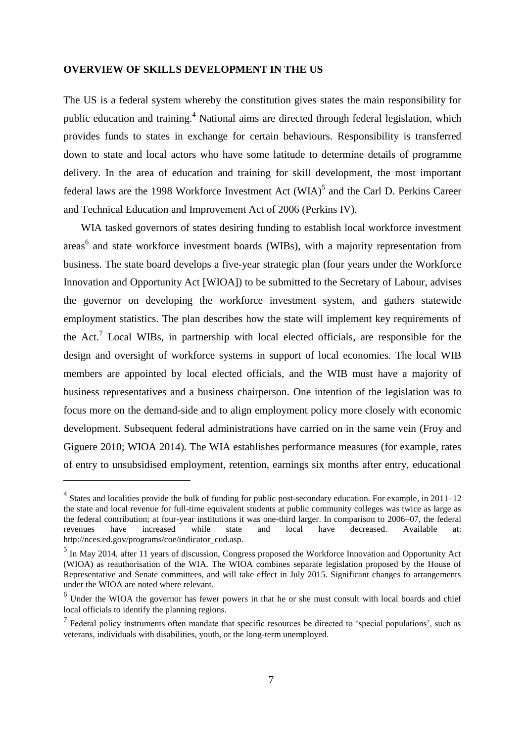#### **OVERVIEW OF SKILLS DEVELOPMENT IN THE US**

The US is a federal system whereby the constitution gives states the main responsibility for public education and training.<sup>4</sup> National aims are directed through federal legislation, which provides funds to states in exchange for certain behaviours. Responsibility is transferred down to state and local actors who have some latitude to determine details of programme delivery. In the area of education and training for skill development, the most important federal laws are the 1998 Workforce Investment Act  $(WIA)^5$  and the Carl D. Perkins Career and Technical Education and Improvement Act of 2006 (Perkins IV).

WIA tasked governors of states desiring funding to establish local workforce investment areas<sup>6</sup> and state workforce investment boards (WIBs), with a majority representation from business. The state board develops a five-year strategic plan (four years under the Workforce Innovation and Opportunity Act [WIOA]) to be submitted to the Secretary of Labour, advises the governor on developing the workforce investment system, and gathers statewide employment statistics. The plan describes how the state will implement key requirements of the Act.<sup>7</sup> Local WIBs, in partnership with local elected officials, are responsible for the design and oversight of workforce systems in support of local economies. The local WIB members are appointed by local elected officials, and the WIB must have a majority of business representatives and a business chairperson. One intention of the legislation was to focus more on the demand-side and to align employment policy more closely with economic development. Subsequent federal administrations have carried on in the same vein (Froy and Giguere 2010; WIOA 2014). The WIA establishes performance measures (for example, rates of entry to unsubsidised employment, retention, earnings six months after entry, educational

1

<sup>&</sup>lt;sup>4</sup> States and localities provide the bulk of funding for public post-secondary education. For example, in 2011–12 the state and local revenue for full-time equivalent students at public community colleges was twice as large as the federal contribution; at four-year institutions it was one-third larger. In comparison to 2006–07, the federal revenues have increased while state and local have decreased. Available at: http://nces.ed.gov/programs/coe/indicator\_cud.asp.

<sup>&</sup>lt;sup>5</sup> In May 2014, after 11 years of discussion, Congress proposed the Workforce Innovation and Opportunity Act (WIOA) as reauthorisation of the WIA. The WIOA combines separate legislation proposed by the House of Representative and Senate committees, and will take effect in July 2015. Significant changes to arrangements under the WIOA are noted where relevant.

<sup>&</sup>lt;sup>6</sup> Under the WIOA the governor has fewer powers in that he or she must consult with local boards and chief local officials to identify the planning regions.

 $<sup>7</sup>$  Federal policy instruments often mandate that specific resources be directed to 'special populations', such as</sup> veterans, individuals with disabilities, youth, or the long-term unemployed.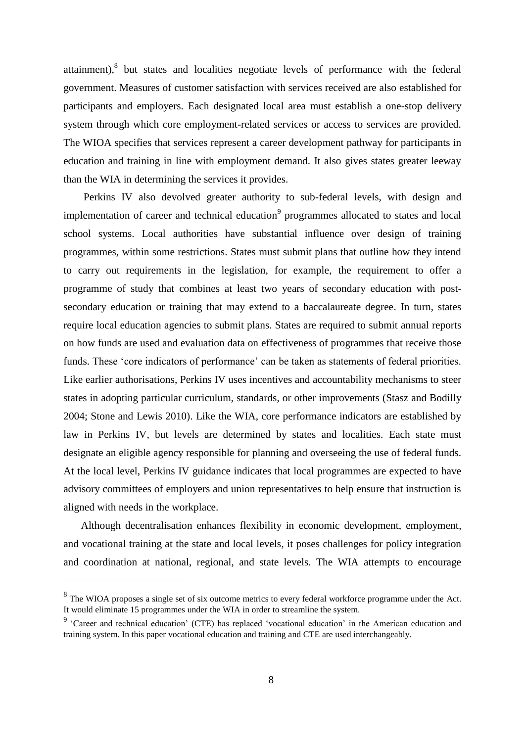attainment),<sup>8</sup> but states and localities negotiate levels of performance with the federal government. Measures of customer satisfaction with services received are also established for participants and employers. Each designated local area must establish a one-stop delivery system through which core employment-related services or access to services are provided. The WIOA specifies that services represent a career development pathway for participants in education and training in line with employment demand. It also gives states greater leeway than the WIA in determining the services it provides.

Perkins IV also devolved greater authority to sub-federal levels, with design and implementation of career and technical education<sup>9</sup> programmes allocated to states and local school systems. Local authorities have substantial influence over design of training programmes, within some restrictions. States must submit plans that outline how they intend to carry out requirements in the legislation, for example, the requirement to offer a programme of study that combines at least two years of secondary education with postsecondary education or training that may extend to a baccalaureate degree. In turn, states require local education agencies to submit plans. States are required to submit annual reports on how funds are used and evaluation data on effectiveness of programmes that receive those funds. These 'core indicators of performance' can be taken as statements of federal priorities. Like earlier authorisations, Perkins IV uses incentives and accountability mechanisms to steer states in adopting particular curriculum, standards, or other improvements (Stasz and Bodilly 2004; Stone and Lewis 2010). Like the WIA, core performance indicators are established by law in Perkins IV, but levels are determined by states and localities. Each state must designate an eligible agency responsible for planning and overseeing the use of federal funds. At the local level, Perkins IV guidance indicates that local programmes are expected to have advisory committees of employers and union representatives to help ensure that instruction is aligned with needs in the workplace.

Although decentralisation enhances flexibility in economic development, employment, and vocational training at the state and local levels, it poses challenges for policy integration and coordination at national, regional, and state levels. The WIA attempts to encourage

<u>.</u>

 $8$  The WIOA proposes a single set of six outcome metrics to every federal workforce programme under the Act. It would eliminate 15 programmes under the WIA in order to streamline the system.

<sup>&</sup>lt;sup>9</sup> 'Career and technical education' (CTE) has replaced 'vocational education' in the American education and training system. In this paper vocational education and training and CTE are used interchangeably.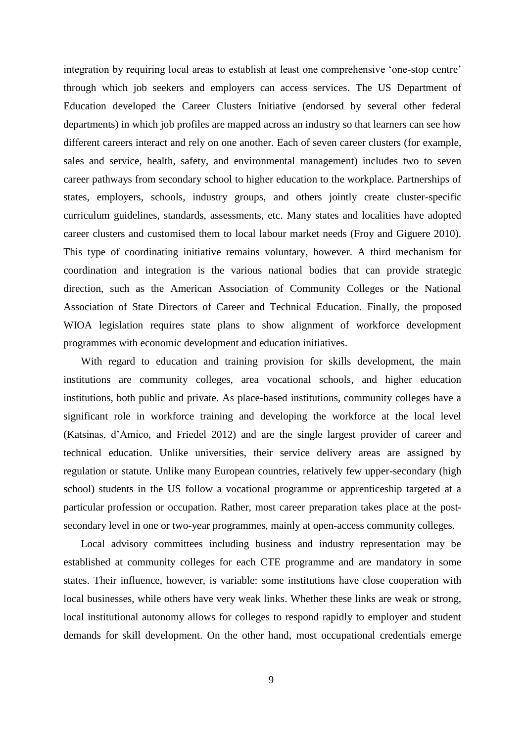integration by requiring local areas to establish at least one comprehensive 'one-stop centre' through which job seekers and employers can access services. The US Department of Education developed the Career Clusters Initiative (endorsed by several other federal departments) in which job profiles are mapped across an industry so that learners can see how different careers interact and rely on one another. Each of seven career clusters (for example, sales and service, health, safety, and environmental management) includes two to seven career pathways from secondary school to higher education to the workplace. Partnerships of states, employers, schools, industry groups, and others jointly create cluster-specific curriculum guidelines, standards, assessments, etc. Many states and localities have adopted career clusters and customised them to local labour market needs (Froy and Giguere 2010). This type of coordinating initiative remains voluntary, however. A third mechanism for coordination and integration is the various national bodies that can provide strategic direction, such as the American Association of Community Colleges or the National Association of State Directors of Career and Technical Education. Finally, the proposed WIOA legislation requires state plans to show alignment of workforce development programmes with economic development and education initiatives.

With regard to education and training provision for skills development, the main institutions are community colleges, area vocational schools, and higher education institutions, both public and private. As place-based institutions, community colleges have a significant role in workforce training and developing the workforce at the local level (Katsinas, d'Amico, and Friedel 2012) and are the single largest provider of career and technical education. Unlike universities, their service delivery areas are assigned by regulation or statute. Unlike many European countries, relatively few upper-secondary (high school) students in the US follow a vocational programme or apprenticeship targeted at a particular profession or occupation. Rather, most career preparation takes place at the postsecondary level in one or two-year programmes, mainly at open-access community colleges.

Local advisory committees including business and industry representation may be established at community colleges for each CTE programme and are mandatory in some states. Their influence, however, is variable: some institutions have close cooperation with local businesses, while others have very weak links. Whether these links are weak or strong, local institutional autonomy allows for colleges to respond rapidly to employer and student demands for skill development. On the other hand, most occupational credentials emerge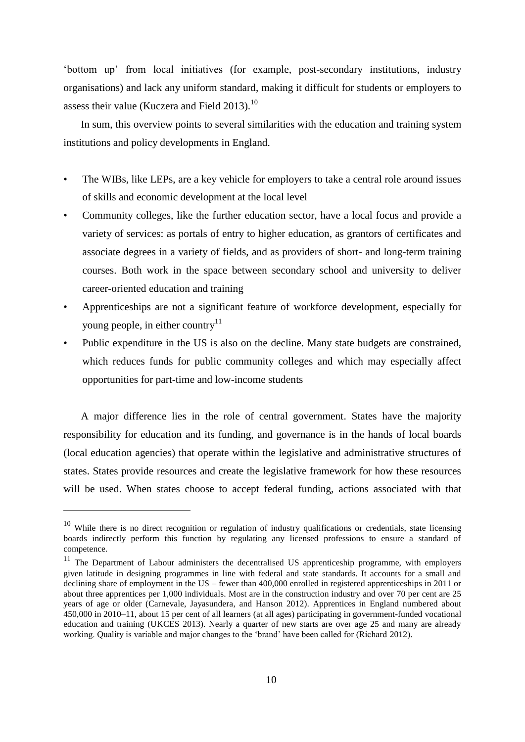'bottom up' from local initiatives (for example, post-secondary institutions, industry organisations) and lack any uniform standard, making it difficult for students or employers to assess their value (Kuczera and Field 2013).<sup>10</sup>

In sum, this overview points to several similarities with the education and training system institutions and policy developments in England.

- The WIBs, like LEPs, are a key vehicle for employers to take a central role around issues of skills and economic development at the local level
- Community colleges, like the further education sector, have a local focus and provide a variety of services: as portals of entry to higher education, as grantors of certificates and associate degrees in a variety of fields, and as providers of short- and long-term training courses. Both work in the space between secondary school and university to deliver career-oriented education and training
- Apprenticeships are not a significant feature of workforce development, especially for young people, in either country<sup>11</sup>
- Public expenditure in the US is also on the decline. Many state budgets are constrained, which reduces funds for public community colleges and which may especially affect opportunities for part-time and low-income students

A major difference lies in the role of central government. States have the majority responsibility for education and its funding, and governance is in the hands of local boards (local education agencies) that operate within the legislative and administrative structures of states. States provide resources and create the legislative framework for how these resources will be used. When states choose to accept federal funding, actions associated with that

<u>.</u>

 $10$  While there is no direct recognition or regulation of industry qualifications or credentials, state licensing boards indirectly perform this function by regulating any licensed professions to ensure a standard of competence.

<sup>&</sup>lt;sup>11</sup> The Department of Labour administers the decentralised US apprenticeship programme, with employers given latitude in designing programmes in line with federal and state standards. It accounts for a small and declining share of employment in the US – fewer than 400,000 enrolled in registered apprenticeships in 2011 or about three apprentices per 1,000 individuals. Most are in the construction industry and over 70 per cent are 25 years of age or older (Carnevale, Jayasundera, and Hanson 2012). Apprentices in England numbered about 450,000 in 2010–11, about 15 per cent of all learners (at all ages) participating in government-funded vocational education and training (UKCES 2013). Nearly a quarter of new starts are over age 25 and many are already working. Quality is variable and major changes to the 'brand' have been called for (Richard 2012).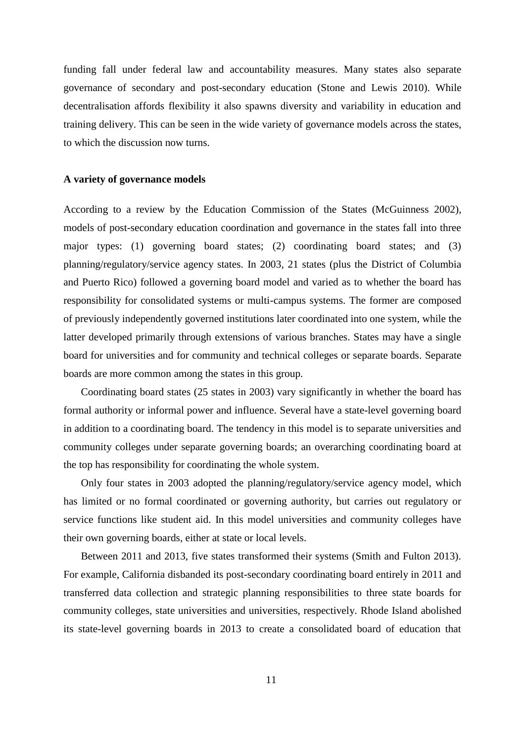funding fall under federal law and accountability measures. Many states also separate governance of secondary and post-secondary education (Stone and Lewis 2010). While decentralisation affords flexibility it also spawns diversity and variability in education and training delivery. This can be seen in the wide variety of governance models across the states, to which the discussion now turns.

#### **A variety of governance models**

According to a review by the Education Commission of the States (McGuinness 2002), models of post-secondary education coordination and governance in the states fall into three major types: (1) governing board states; (2) coordinating board states; and (3) planning/regulatory/service agency states. In 2003, 21 states (plus the District of Columbia and Puerto Rico) followed a governing board model and varied as to whether the board has responsibility for consolidated systems or multi-campus systems. The former are composed of previously independently governed institutions later coordinated into one system, while the latter developed primarily through extensions of various branches. States may have a single board for universities and for community and technical colleges or separate boards. Separate boards are more common among the states in this group.

Coordinating board states (25 states in 2003) vary significantly in whether the board has formal authority or informal power and influence. Several have a state-level governing board in addition to a coordinating board. The tendency in this model is to separate universities and community colleges under separate governing boards; an overarching coordinating board at the top has responsibility for coordinating the whole system.

Only four states in 2003 adopted the planning/regulatory/service agency model, which has limited or no formal coordinated or governing authority, but carries out regulatory or service functions like student aid. In this model universities and community colleges have their own governing boards, either at state or local levels.

Between 2011 and 2013, five states transformed their systems (Smith and Fulton 2013). For example, California disbanded its post-secondary coordinating board entirely in 2011 and transferred data collection and strategic planning responsibilities to three state boards for community colleges, state universities and universities, respectively. Rhode Island abolished its state-level governing boards in 2013 to create a consolidated board of education that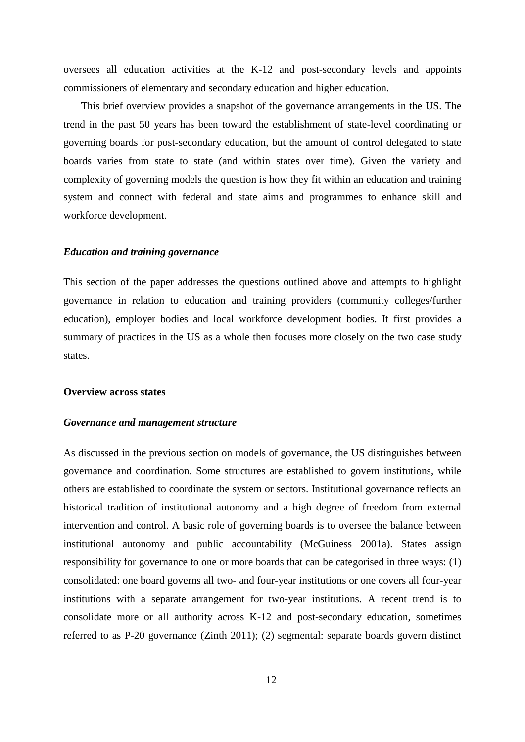oversees all education activities at the K-12 and post-secondary levels and appoints commissioners of elementary and secondary education and higher education.

This brief overview provides a snapshot of the governance arrangements in the US. The trend in the past 50 years has been toward the establishment of state-level coordinating or governing boards for post-secondary education, but the amount of control delegated to state boards varies from state to state (and within states over time). Given the variety and complexity of governing models the question is how they fit within an education and training system and connect with federal and state aims and programmes to enhance skill and workforce development.

#### *Education and training governance*

This section of the paper addresses the questions outlined above and attempts to highlight governance in relation to education and training providers (community colleges/further education), employer bodies and local workforce development bodies. It first provides a summary of practices in the US as a whole then focuses more closely on the two case study states.

#### **Overview across states**

#### *Governance and management structure*

As discussed in the previous section on models of governance, the US distinguishes between governance and coordination. Some structures are established to govern institutions, while others are established to coordinate the system or sectors. Institutional governance reflects an historical tradition of institutional autonomy and a high degree of freedom from external intervention and control. A basic role of governing boards is to oversee the balance between institutional autonomy and public accountability (McGuiness 2001a). States assign responsibility for governance to one or more boards that can be categorised in three ways: (1) consolidated: one board governs all two- and four-year institutions or one covers all four-year institutions with a separate arrangement for two-year institutions. A recent trend is to consolidate more or all authority across K-12 and post-secondary education, sometimes referred to as P-20 governance (Zinth 2011); (2) segmental: separate boards govern distinct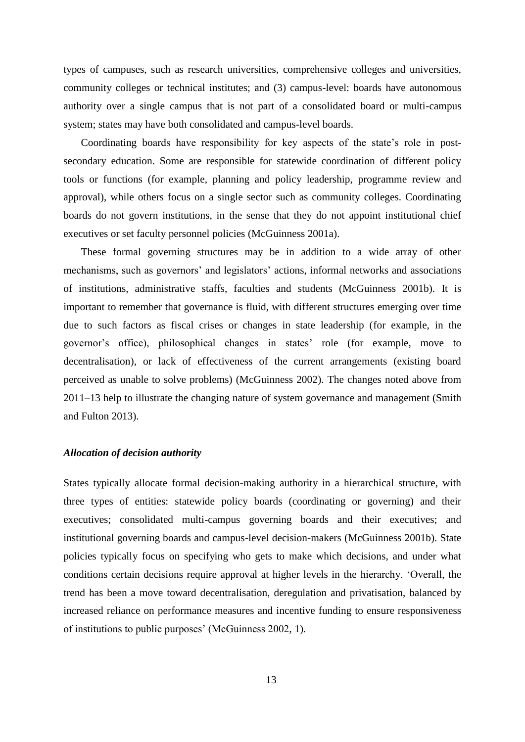types of campuses, such as research universities, comprehensive colleges and universities, community colleges or technical institutes; and (3) campus-level: boards have autonomous authority over a single campus that is not part of a consolidated board or multi-campus system; states may have both consolidated and campus-level boards.

Coordinating boards have responsibility for key aspects of the state's role in postsecondary education. Some are responsible for statewide coordination of different policy tools or functions (for example, planning and policy leadership, programme review and approval), while others focus on a single sector such as community colleges. Coordinating boards do not govern institutions, in the sense that they do not appoint institutional chief executives or set faculty personnel policies (McGuinness 2001a).

These formal governing structures may be in addition to a wide array of other mechanisms, such as governors' and legislators' actions, informal networks and associations of institutions, administrative staffs, faculties and students (McGuinness 2001b). It is important to remember that governance is fluid, with different structures emerging over time due to such factors as fiscal crises or changes in state leadership (for example, in the governor's office), philosophical changes in states' role (for example, move to decentralisation), or lack of effectiveness of the current arrangements (existing board perceived as unable to solve problems) (McGuinness 2002). The changes noted above from 2011–13 help to illustrate the changing nature of system governance and management (Smith and Fulton 2013).

#### *Allocation of decision authority*

States typically allocate formal decision-making authority in a hierarchical structure, with three types of entities: statewide policy boards (coordinating or governing) and their executives; consolidated multi-campus governing boards and their executives; and institutional governing boards and campus-level decision-makers (McGuinness 2001b). State policies typically focus on specifying who gets to make which decisions, and under what conditions certain decisions require approval at higher levels in the hierarchy. 'Overall, the trend has been a move toward decentralisation, deregulation and privatisation, balanced by increased reliance on performance measures and incentive funding to ensure responsiveness of institutions to public purposes' (McGuinness 2002, 1).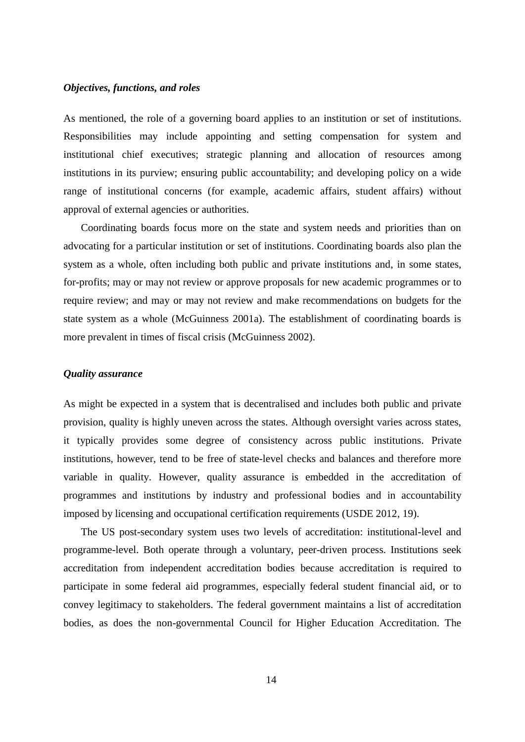#### *Objectives, functions, and roles*

As mentioned, the role of a governing board applies to an institution or set of institutions. Responsibilities may include appointing and setting compensation for system and institutional chief executives; strategic planning and allocation of resources among institutions in its purview; ensuring public accountability; and developing policy on a wide range of institutional concerns (for example, academic affairs, student affairs) without approval of external agencies or authorities.

Coordinating boards focus more on the state and system needs and priorities than on advocating for a particular institution or set of institutions. Coordinating boards also plan the system as a whole, often including both public and private institutions and, in some states, for-profits; may or may not review or approve proposals for new academic programmes or to require review; and may or may not review and make recommendations on budgets for the state system as a whole (McGuinness 2001a). The establishment of coordinating boards is more prevalent in times of fiscal crisis (McGuinness 2002).

#### *Quality assurance*

As might be expected in a system that is decentralised and includes both public and private provision, quality is highly uneven across the states. Although oversight varies across states, it typically provides some degree of consistency across public institutions. Private institutions, however, tend to be free of state-level checks and balances and therefore more variable in quality. However, quality assurance is embedded in the accreditation of programmes and institutions by industry and professional bodies and in accountability imposed by licensing and occupational certification requirements (USDE 2012, 19).

The US post-secondary system uses two levels of accreditation: institutional-level and programme-level. Both operate through a voluntary, peer-driven process. Institutions seek accreditation from independent accreditation bodies because accreditation is required to participate in some federal aid programmes, especially federal student financial aid, or to convey legitimacy to stakeholders. The federal government maintains a list of accreditation bodies, as does the non-governmental Council for Higher Education Accreditation. The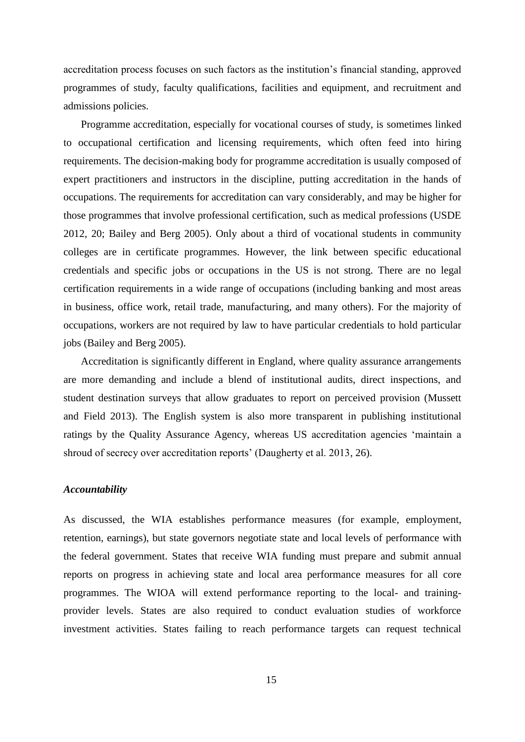accreditation process focuses on such factors as the institution's financial standing, approved programmes of study, faculty qualifications, facilities and equipment, and recruitment and admissions policies.

Programme accreditation, especially for vocational courses of study, is sometimes linked to occupational certification and licensing requirements, which often feed into hiring requirements. The decision-making body for programme accreditation is usually composed of expert practitioners and instructors in the discipline, putting accreditation in the hands of occupations. The requirements for accreditation can vary considerably, and may be higher for those programmes that involve professional certification, such as medical professions (USDE 2012, 20; Bailey and Berg 2005). Only about a third of vocational students in community colleges are in certificate programmes. However, the link between specific educational credentials and specific jobs or occupations in the US is not strong. There are no legal certification requirements in a wide range of occupations (including banking and most areas in business, office work, retail trade, manufacturing, and many others). For the majority of occupations, workers are not required by law to have particular credentials to hold particular jobs (Bailey and Berg 2005).

Accreditation is significantly different in England, where quality assurance arrangements are more demanding and include a blend of institutional audits, direct inspections, and student destination surveys that allow graduates to report on perceived provision (Mussett and Field 2013). The English system is also more transparent in publishing institutional ratings by the Quality Assurance Agency, whereas US accreditation agencies 'maintain a shroud of secrecy over accreditation reports' (Daugherty et al. 2013, 26).

#### *Accountability*

As discussed, the WIA establishes performance measures (for example, employment, retention, earnings), but state governors negotiate state and local levels of performance with the federal government. States that receive WIA funding must prepare and submit annual reports on progress in achieving state and local area performance measures for all core programmes. The WIOA will extend performance reporting to the local- and trainingprovider levels. States are also required to conduct evaluation studies of workforce investment activities. States failing to reach performance targets can request technical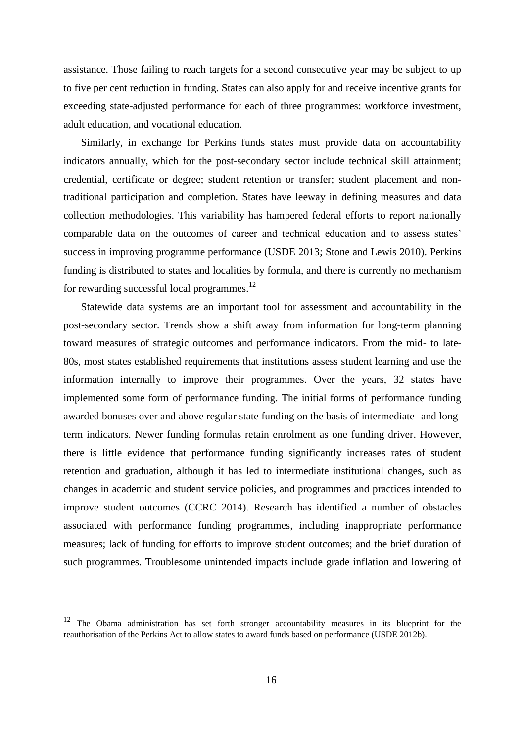assistance. Those failing to reach targets for a second consecutive year may be subject to up to five per cent reduction in funding. States can also apply for and receive incentive grants for exceeding state-adjusted performance for each of three programmes: workforce investment, adult education, and vocational education.

Similarly, in exchange for Perkins funds states must provide data on accountability indicators annually, which for the post-secondary sector include technical skill attainment; credential, certificate or degree; student retention or transfer; student placement and nontraditional participation and completion. States have leeway in defining measures and data collection methodologies. This variability has hampered federal efforts to report nationally comparable data on the outcomes of career and technical education and to assess states' success in improving programme performance (USDE 2013; Stone and Lewis 2010). Perkins funding is distributed to states and localities by formula, and there is currently no mechanism for rewarding successful local programmes.<sup>12</sup>

Statewide data systems are an important tool for assessment and accountability in the post-secondary sector. Trends show a shift away from information for long-term planning toward measures of strategic outcomes and performance indicators. From the mid- to late-80s, most states established requirements that institutions assess student learning and use the information internally to improve their programmes. Over the years, 32 states have implemented some form of performance funding. The initial forms of performance funding awarded bonuses over and above regular state funding on the basis of intermediate- and longterm indicators. Newer funding formulas retain enrolment as one funding driver. However, there is little evidence that performance funding significantly increases rates of student retention and graduation, although it has led to intermediate institutional changes, such as changes in academic and student service policies, and programmes and practices intended to improve student outcomes (CCRC 2014). Research has identified a number of obstacles associated with performance funding programmes, including inappropriate performance measures; lack of funding for efforts to improve student outcomes; and the brief duration of such programmes. Troublesome unintended impacts include grade inflation and lowering of

1

<sup>&</sup>lt;sup>12</sup> The Obama administration has set forth stronger accountability measures in its blueprint for the reauthorisation of the Perkins Act to allow states to award funds based on performance (USDE 2012b).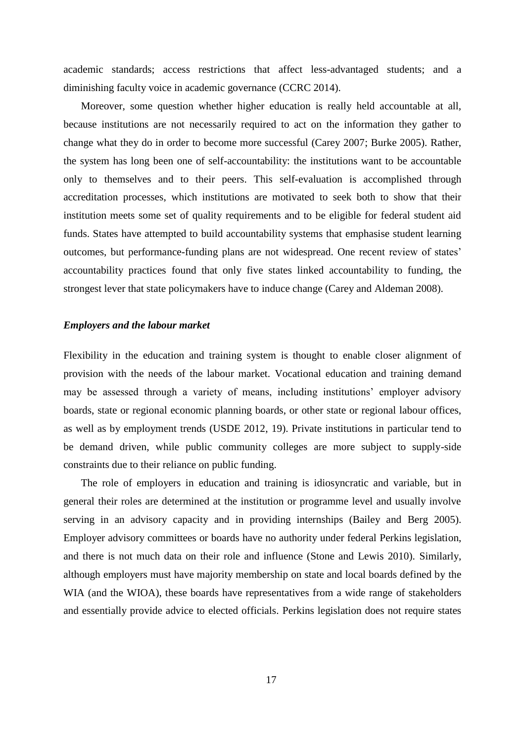academic standards; access restrictions that affect less-advantaged students; and a diminishing faculty voice in academic governance (CCRC 2014).

Moreover, some question whether higher education is really held accountable at all, because institutions are not necessarily required to act on the information they gather to change what they do in order to become more successful (Carey 2007; Burke 2005). Rather, the system has long been one of self-accountability: the institutions want to be accountable only to themselves and to their peers. This self-evaluation is accomplished through accreditation processes, which institutions are motivated to seek both to show that their institution meets some set of quality requirements and to be eligible for federal student aid funds. States have attempted to build accountability systems that emphasise student learning outcomes, but performance-funding plans are not widespread. One recent review of states' accountability practices found that only five states linked accountability to funding, the strongest lever that state policymakers have to induce change (Carey and Aldeman 2008).

#### *Employers and the labour market*

Flexibility in the education and training system is thought to enable closer alignment of provision with the needs of the labour market. Vocational education and training demand may be assessed through a variety of means, including institutions' employer advisory boards, state or regional economic planning boards, or other state or regional labour offices, as well as by employment trends (USDE 2012, 19). Private institutions in particular tend to be demand driven, while public community colleges are more subject to supply-side constraints due to their reliance on public funding.

The role of employers in education and training is idiosyncratic and variable, but in general their roles are determined at the institution or programme level and usually involve serving in an advisory capacity and in providing internships (Bailey and Berg 2005). Employer advisory committees or boards have no authority under federal Perkins legislation, and there is not much data on their role and influence (Stone and Lewis 2010). Similarly, although employers must have majority membership on state and local boards defined by the WIA (and the WIOA), these boards have representatives from a wide range of stakeholders and essentially provide advice to elected officials. Perkins legislation does not require states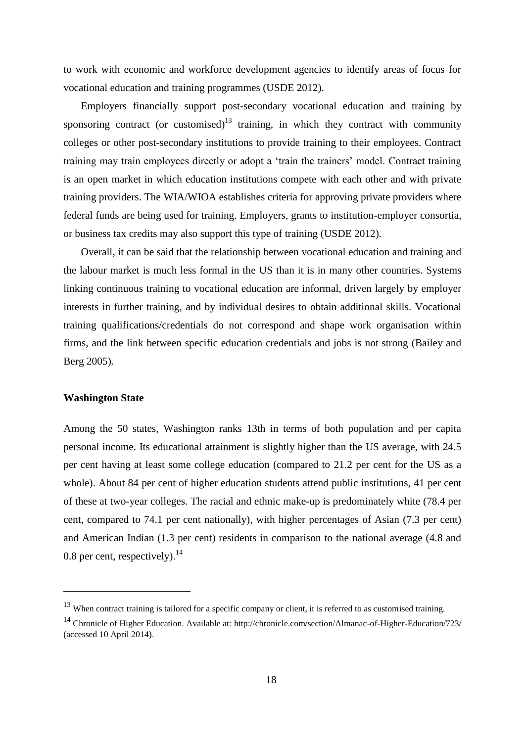to work with economic and workforce development agencies to identify areas of focus for vocational education and training programmes (USDE 2012).

Employers financially support post-secondary vocational education and training by sponsoring contract (or customised) $13$  training, in which they contract with community colleges or other post-secondary institutions to provide training to their employees. Contract training may train employees directly or adopt a 'train the trainers' model. Contract training is an open market in which education institutions compete with each other and with private training providers. The WIA/WIOA establishes criteria for approving private providers where federal funds are being used for training. Employers, grants to institution-employer consortia, or business tax credits may also support this type of training (USDE 2012).

Overall, it can be said that the relationship between vocational education and training and the labour market is much less formal in the US than it is in many other countries. Systems linking continuous training to vocational education are informal, driven largely by employer interests in further training, and by individual desires to obtain additional skills. Vocational training qualifications/credentials do not correspond and shape work organisation within firms, and the link between specific education credentials and jobs is not strong (Bailey and Berg 2005).

#### **Washington State**

1

Among the 50 states, Washington ranks 13th in terms of both population and per capita personal income. Its educational attainment is slightly higher than the US average, with 24.5 per cent having at least some college education (compared to 21.2 per cent for the US as a whole). About 84 per cent of higher education students attend public institutions, 41 per cent of these at two-year colleges. The racial and ethnic make-up is predominately white (78.4 per cent, compared to 74.1 per cent nationally), with higher percentages of Asian (7.3 per cent) and American Indian (1.3 per cent) residents in comparison to the national average (4.8 and 0.8 per cent, respectively). $^{14}$ 

 $13$  When contract training is tailored for a specific company or client, it is referred to as customised training.

<sup>&</sup>lt;sup>14</sup> Chronicle of Higher Education. Available at: http://chronicle.com/section/Almanac-of-Higher-Education/723/ (accessed 10 April 2014).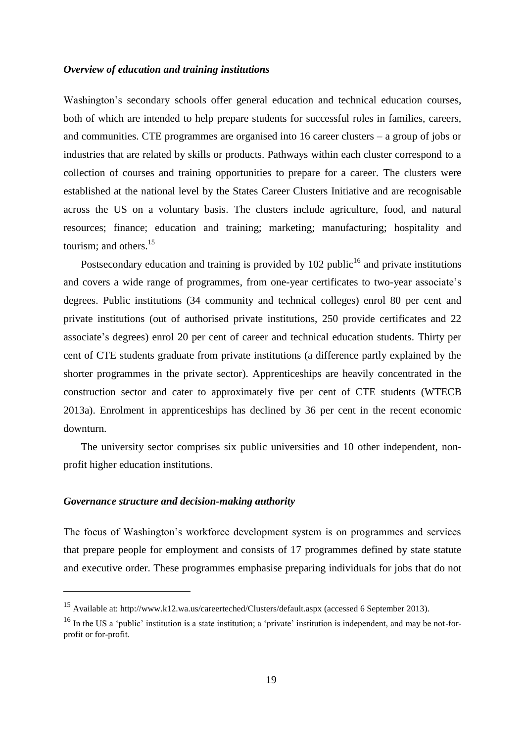#### *Overview of education and training institutions*

Washington's secondary schools offer general education and technical education courses, both of which are intended to help prepare students for successful roles in families, careers, and communities. CTE programmes are organised into 16 career clusters – a group of jobs or industries that are related by skills or products. Pathways within each cluster correspond to a collection of courses and training opportunities to prepare for a career. The clusters were established at the national level by the States Career Clusters Initiative and are recognisable across the US on a voluntary basis. The clusters include agriculture, food, and natural resources; finance; education and training; marketing; manufacturing; hospitality and tourism; and others.<sup>15</sup>

Postsecondary education and training is provided by  $102$  public<sup>16</sup> and private institutions and covers a wide range of programmes, from one-year certificates to two-year associate's degrees. Public institutions (34 community and technical colleges) enrol 80 per cent and private institutions (out of authorised private institutions, 250 provide certificates and 22 associate's degrees) enrol 20 per cent of career and technical education students. Thirty per cent of CTE students graduate from private institutions (a difference partly explained by the shorter programmes in the private sector). Apprenticeships are heavily concentrated in the construction sector and cater to approximately five per cent of CTE students (WTECB 2013a). Enrolment in apprenticeships has declined by 36 per cent in the recent economic downturn.

The university sector comprises six public universities and 10 other independent, nonprofit higher education institutions.

#### *Governance structure and decision-making authority*

1

The focus of Washington's workforce development system is on programmes and services that prepare people for employment and consists of 17 programmes defined by state statute and executive order. These programmes emphasise preparing individuals for jobs that do not

<sup>15</sup> Available at: http://www.k12.wa.us/careerteched/Clusters/default.aspx (accessed 6 September 2013).

<sup>&</sup>lt;sup>16</sup> In the US a 'public' institution is a state institution; a 'private' institution is independent, and may be not-forprofit or for-profit.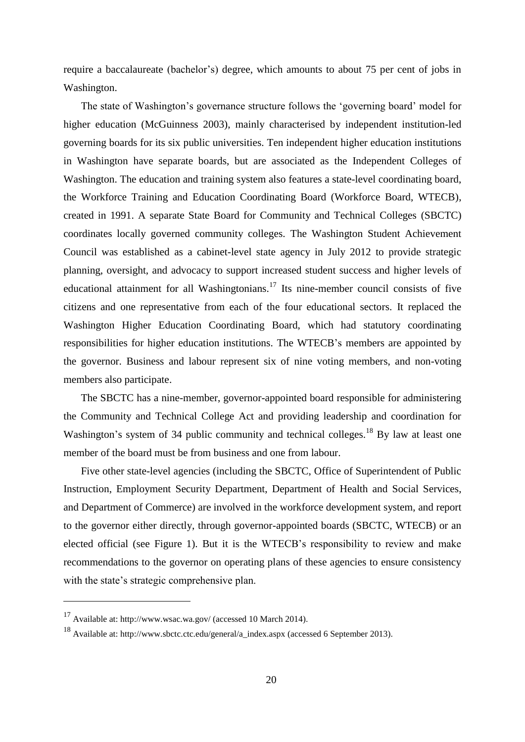require a baccalaureate (bachelor's) degree, which amounts to about 75 per cent of jobs in Washington.

The state of Washington's governance structure follows the 'governing board' model for higher education (McGuinness 2003), mainly characterised by independent institution-led governing boards for its six public universities. Ten independent higher education institutions in Washington have separate boards, but are associated as the Independent Colleges of Washington. The education and training system also features a state-level coordinating board, the Workforce Training and Education Coordinating Board (Workforce Board, WTECB), created in 1991. A separate State Board for Community and Technical Colleges (SBCTC) coordinates locally governed community colleges. The Washington Student Achievement Council was established as a cabinet-level state agency in July 2012 to provide strategic planning, oversight, and advocacy to support increased student success and higher levels of educational attainment for all Washingtonians.<sup>17</sup> Its nine-member council consists of five citizens and one representative from each of the four educational sectors. It replaced the Washington Higher Education Coordinating Board, which had statutory coordinating responsibilities for higher education institutions. The WTECB's members are appointed by the governor. Business and labour represent six of nine voting members, and non-voting members also participate.

The SBCTC has a nine-member, governor-appointed board responsible for administering the Community and Technical College Act and providing leadership and coordination for Washington's system of 34 public community and technical colleges.<sup>18</sup> By law at least one member of the board must be from business and one from labour.

Five other state-level agencies (including the SBCTC, Office of Superintendent of Public Instruction, Employment Security Department, Department of Health and Social Services, and Department of Commerce) are involved in the workforce development system, and report to the governor either directly, through governor-appointed boards (SBCTC, WTECB) or an elected official (see Figure 1). But it is the WTECB's responsibility to review and make recommendations to the governor on operating plans of these agencies to ensure consistency with the state's strategic comprehensive plan.

1

 $17$  Available at: http://www.wsac.wa.gov/ (accessed 10 March 2014).

<sup>18</sup> Available at: http://www.sbctc.ctc.edu/general/a\_index.aspx (accessed 6 September 2013).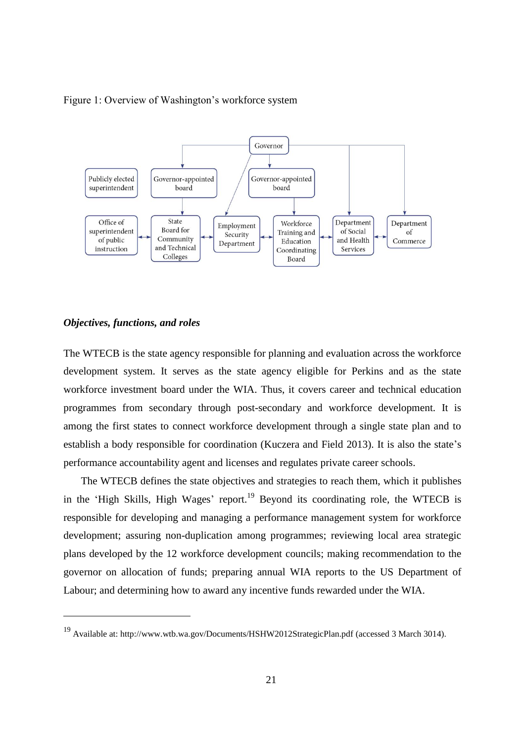Figure 1: Overview of Washington's workforce system



#### *Objectives, functions, and roles*

<u>.</u>

The WTECB is the state agency responsible for planning and evaluation across the workforce development system. It serves as the state agency eligible for Perkins and as the state workforce investment board under the WIA. Thus, it covers career and technical education programmes from secondary through post-secondary and workforce development. It is among the first states to connect workforce development through a single state plan and to establish a body responsible for coordination (Kuczera and Field 2013). It is also the state's performance accountability agent and licenses and regulates private career schools.

The WTECB defines the state objectives and strategies to reach them, which it publishes in the 'High Skills, High Wages' report.<sup>19</sup> Beyond its coordinating role, the WTECB is responsible for developing and managing a performance management system for workforce development; assuring non-duplication among programmes; reviewing local area strategic plans developed by the 12 workforce development councils; making recommendation to the governor on allocation of funds; preparing annual WIA reports to the US Department of Labour; and determining how to award any incentive funds rewarded under the WIA.

<sup>19</sup> Available at: http://www.wtb.wa.gov/Documents/HSHW2012StrategicPlan.pdf (accessed 3 March 3014).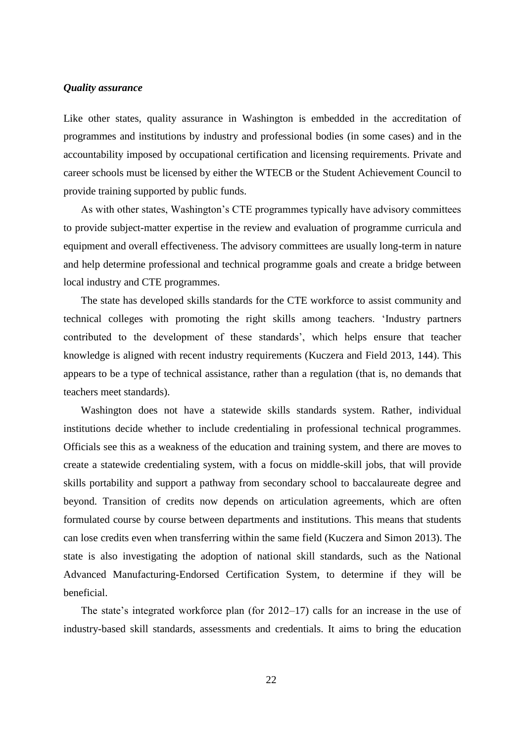#### *Quality assurance*

Like other states, quality assurance in Washington is embedded in the accreditation of programmes and institutions by industry and professional bodies (in some cases) and in the accountability imposed by occupational certification and licensing requirements. Private and career schools must be licensed by either the WTECB or the Student Achievement Council to provide training supported by public funds.

As with other states, Washington's CTE programmes typically have advisory committees to provide subject-matter expertise in the review and evaluation of programme curricula and equipment and overall effectiveness. The advisory committees are usually long-term in nature and help determine professional and technical programme goals and create a bridge between local industry and CTE programmes.

The state has developed skills standards for the CTE workforce to assist community and technical colleges with promoting the right skills among teachers. 'Industry partners contributed to the development of these standards', which helps ensure that teacher knowledge is aligned with recent industry requirements (Kuczera and Field 2013, 144). This appears to be a type of technical assistance, rather than a regulation (that is, no demands that teachers meet standards).

Washington does not have a statewide skills standards system. Rather, individual institutions decide whether to include credentialing in professional technical programmes. Officials see this as a weakness of the education and training system, and there are moves to create a statewide credentialing system, with a focus on middle-skill jobs, that will provide skills portability and support a pathway from secondary school to baccalaureate degree and beyond. Transition of credits now depends on articulation agreements, which are often formulated course by course between departments and institutions. This means that students can lose credits even when transferring within the same field (Kuczera and Simon 2013). The state is also investigating the adoption of national skill standards, such as the National Advanced Manufacturing-Endorsed Certification System, to determine if they will be beneficial.

The state's integrated workforce plan (for 2012–17) calls for an increase in the use of industry-based skill standards, assessments and credentials. It aims to bring the education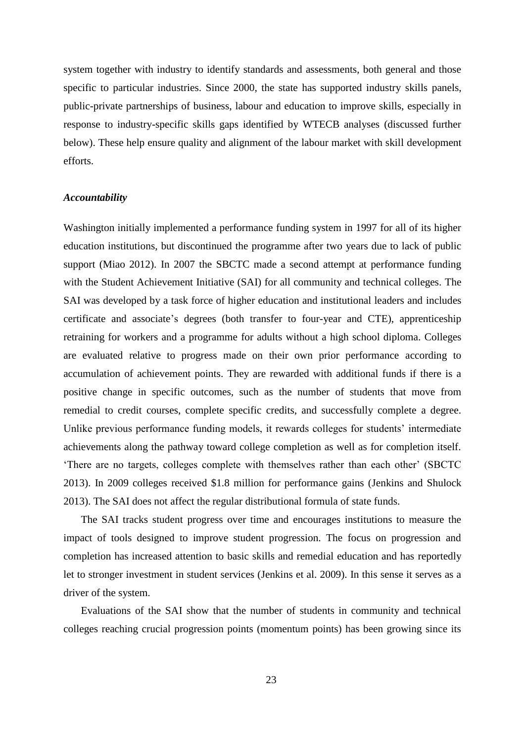system together with industry to identify standards and assessments, both general and those specific to particular industries. Since 2000, the state has supported industry skills panels, public-private partnerships of business, labour and education to improve skills, especially in response to industry-specific skills gaps identified by WTECB analyses (discussed further below). These help ensure quality and alignment of the labour market with skill development efforts.

#### *Accountability*

Washington initially implemented a performance funding system in 1997 for all of its higher education institutions, but discontinued the programme after two years due to lack of public support (Miao 2012). In 2007 the SBCTC made a second attempt at performance funding with the Student Achievement Initiative (SAI) for all community and technical colleges. The SAI was developed by a task force of higher education and institutional leaders and includes certificate and associate's degrees (both transfer to four-year and CTE), apprenticeship retraining for workers and a programme for adults without a high school diploma. Colleges are evaluated relative to progress made on their own prior performance according to accumulation of achievement points. They are rewarded with additional funds if there is a positive change in specific outcomes, such as the number of students that move from remedial to credit courses, complete specific credits, and successfully complete a degree. Unlike previous performance funding models, it rewards colleges for students' intermediate achievements along the pathway toward college completion as well as for completion itself. 'There are no targets, colleges complete with themselves rather than each other' (SBCTC 2013). In 2009 colleges received \$1.8 million for performance gains (Jenkins and Shulock 2013). The SAI does not affect the regular distributional formula of state funds.

The SAI tracks student progress over time and encourages institutions to measure the impact of tools designed to improve student progression. The focus on progression and completion has increased attention to basic skills and remedial education and has reportedly let to stronger investment in student services (Jenkins et al. 2009). In this sense it serves as a driver of the system.

Evaluations of the SAI show that the number of students in community and technical colleges reaching crucial progression points (momentum points) has been growing since its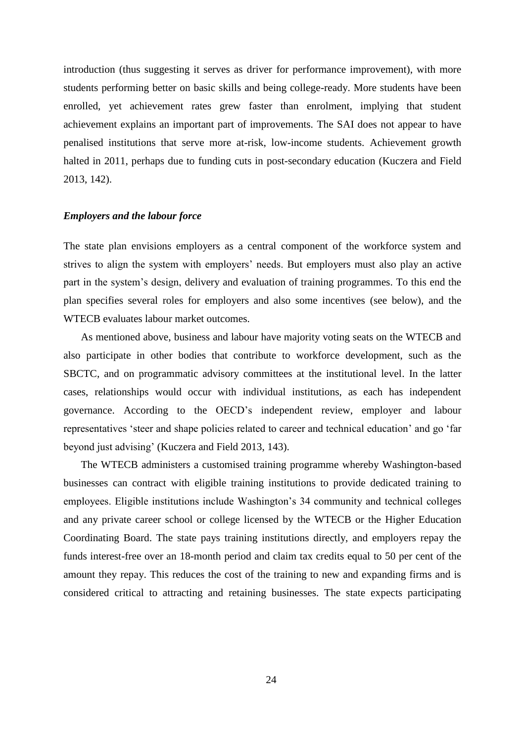introduction (thus suggesting it serves as driver for performance improvement), with more students performing better on basic skills and being college-ready. More students have been enrolled, yet achievement rates grew faster than enrolment, implying that student achievement explains an important part of improvements. The SAI does not appear to have penalised institutions that serve more at-risk, low-income students. Achievement growth halted in 2011, perhaps due to funding cuts in post-secondary education (Kuczera and Field 2013, 142).

#### *Employers and the labour force*

The state plan envisions employers as a central component of the workforce system and strives to align the system with employers' needs. But employers must also play an active part in the system's design, delivery and evaluation of training programmes. To this end the plan specifies several roles for employers and also some incentives (see below), and the WTECB evaluates labour market outcomes.

As mentioned above, business and labour have majority voting seats on the WTECB and also participate in other bodies that contribute to workforce development, such as the SBCTC, and on programmatic advisory committees at the institutional level. In the latter cases, relationships would occur with individual institutions, as each has independent governance. According to the OECD's independent review, employer and labour representatives 'steer and shape policies related to career and technical education' and go 'far beyond just advising' (Kuczera and Field 2013, 143).

The WTECB administers a customised training programme whereby Washington-based businesses can contract with eligible training institutions to provide dedicated training to employees. Eligible institutions include Washington's 34 community and technical colleges and any private career school or college licensed by the WTECB or the Higher Education Coordinating Board. The state pays training institutions directly, and employers repay the funds interest-free over an 18-month period and claim tax credits equal to 50 per cent of the amount they repay. This reduces the cost of the training to new and expanding firms and is considered critical to attracting and retaining businesses. The state expects participating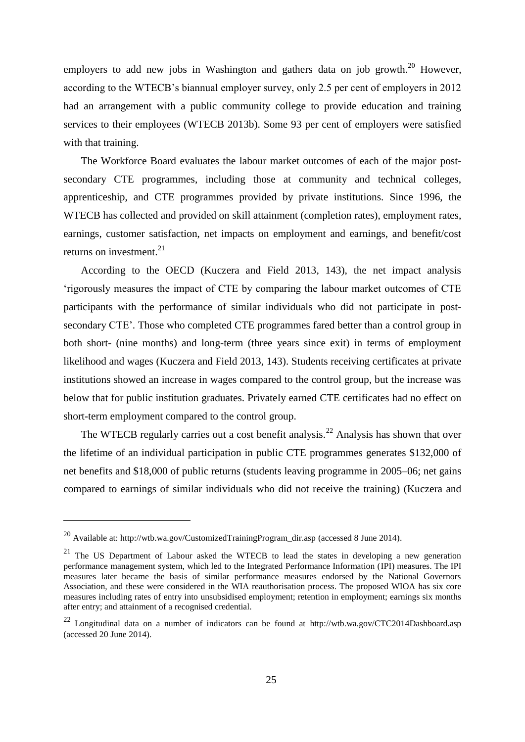employers to add new jobs in Washington and gathers data on job growth.<sup>20</sup> However, according to the WTECB's biannual employer survey, only 2.5 per cent of employers in 2012 had an arrangement with a public community college to provide education and training services to their employees (WTECB 2013b). Some 93 per cent of employers were satisfied with that training.

The Workforce Board evaluates the labour market outcomes of each of the major postsecondary CTE programmes, including those at community and technical colleges, apprenticeship, and CTE programmes provided by private institutions. Since 1996, the WTECB has collected and provided on skill attainment (completion rates), employment rates, earnings, customer satisfaction, net impacts on employment and earnings, and benefit/cost returns on investment. $^{21}$ 

According to the OECD (Kuczera and Field 2013, 143), the net impact analysis 'rigorously measures the impact of CTE by comparing the labour market outcomes of CTE participants with the performance of similar individuals who did not participate in postsecondary CTE'. Those who completed CTE programmes fared better than a control group in both short- (nine months) and long-term (three years since exit) in terms of employment likelihood and wages (Kuczera and Field 2013, 143). Students receiving certificates at private institutions showed an increase in wages compared to the control group, but the increase was below that for public institution graduates. Privately earned CTE certificates had no effect on short-term employment compared to the control group.

The WTECB regularly carries out a cost benefit analysis.<sup>22</sup> Analysis has shown that over the lifetime of an individual participation in public CTE programmes generates \$132,000 of net benefits and \$18,000 of public returns (students leaving programme in 2005–06; net gains compared to earnings of similar individuals who did not receive the training) (Kuczera and

1

<sup>20</sup> Available at: http://wtb.wa.gov/CustomizedTrainingProgram\_dir.asp (accessed 8 June 2014).

 $21$  The US Department of Labour asked the WTECB to lead the states in developing a new generation performance management system, which led to the Integrated Performance Information (IPI) measures. The IPI measures later became the basis of similar performance measures endorsed by the National Governors Association, and these were considered in the WIA reauthorisation process. The proposed WIOA has six core measures including rates of entry into unsubsidised employment; retention in employment; earnings six months after entry; and attainment of a recognised credential.

<sup>22</sup> Longitudinal data on a number of indicators can be found at http://wtb.wa.gov/CTC2014Dashboard.asp (accessed 20 June 2014).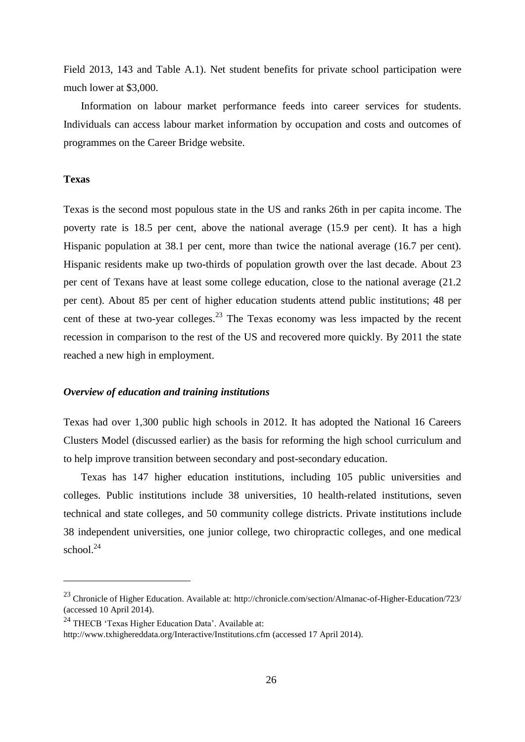Field 2013, 143 and Table A.1). Net student benefits for private school participation were much lower at \$3,000.

Information on labour market performance feeds into career services for students. Individuals can access labour market information by occupation and costs and outcomes of programmes on the Career Bridge website.

#### **Texas**

<u>.</u>

Texas is the second most populous state in the US and ranks 26th in per capita income. The poverty rate is 18.5 per cent, above the national average (15.9 per cent). It has a high Hispanic population at 38.1 per cent, more than twice the national average (16.7 per cent). Hispanic residents make up two-thirds of population growth over the last decade. About 23 per cent of Texans have at least some college education, close to the national average (21.2 per cent). About 85 per cent of higher education students attend public institutions; 48 per cent of these at two-year colleges.<sup>23</sup> The Texas economy was less impacted by the recent recession in comparison to the rest of the US and recovered more quickly. By 2011 the state reached a new high in employment.

#### *Overview of education and training institutions*

Texas had over 1,300 public high schools in 2012. It has adopted the National 16 Careers Clusters Model (discussed earlier) as the basis for reforming the high school curriculum and to help improve transition between secondary and post-secondary education.

Texas has 147 higher education institutions, including 105 public universities and colleges. Public institutions include 38 universities, 10 health-related institutions, seven technical and state colleges, and 50 community college districts. Private institutions include 38 independent universities, one junior college, two chiropractic colleges, and one medical school. 24

<sup>23</sup> Chronicle of Higher Education. Available at: http://chronicle.com/section/Almanac-of-Higher-Education/723/ (accessed 10 April 2014).

<sup>24</sup> THECB 'Texas Higher Education Data'. Available at:

http://www.txhighereddata.org/Interactive/Institutions.cfm (accessed 17 April 2014).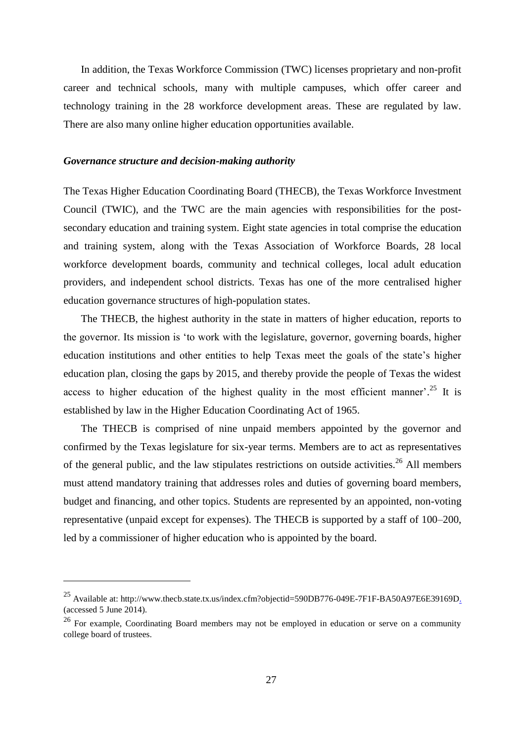In addition, the Texas Workforce Commission (TWC) licenses proprietary and non-profit career and technical schools, many with multiple campuses, which offer career and technology training in the 28 workforce development areas. These are regulated by law. There are also many online higher education opportunities available.

#### *Governance structure and decision-making authority*

<u>.</u>

The Texas Higher Education Coordinating Board (THECB), the Texas Workforce Investment Council (TWIC), and the TWC are the main agencies with responsibilities for the postsecondary education and training system. Eight state agencies in total comprise the education and training system, along with the Texas Association of Workforce Boards, 28 local workforce development boards, community and technical colleges, local adult education providers, and independent school districts. Texas has one of the more centralised higher education governance structures of high-population states.

The THECB, the highest authority in the state in matters of higher education, reports to the governor. Its mission is 'to work with the legislature, governor, governing boards, higher education institutions and other entities to help Texas meet the goals of the state's higher education plan, closing the gaps by 2015, and thereby provide the people of Texas the widest access to higher education of the highest quality in the most efficient manner'.<sup>25</sup> It is established by law in the Higher Education Coordinating Act of 1965.

The THECB is comprised of nine unpaid members appointed by the governor and confirmed by the Texas legislature for six-year terms. Members are to act as representatives of the general public, and the law stipulates restrictions on outside activities.<sup>26</sup> All members must attend mandatory training that addresses roles and duties of governing board members, budget and financing, and other topics. Students are represented by an appointed, non-voting representative (unpaid except for expenses). The THECB is supported by a staff of 100–200, led by a commissioner of higher education who is appointed by the board.

<sup>&</sup>lt;sup>25</sup> Available at: http://www.thecb.state.tx.us/index.cfm?objectid=590DB776-049E-7F1F-BA50A97E6E39169D. (accessed 5 June 2014).

<sup>&</sup>lt;sup>26</sup> For example, Coordinating Board members may not be employed in education or serve on a community college board of trustees.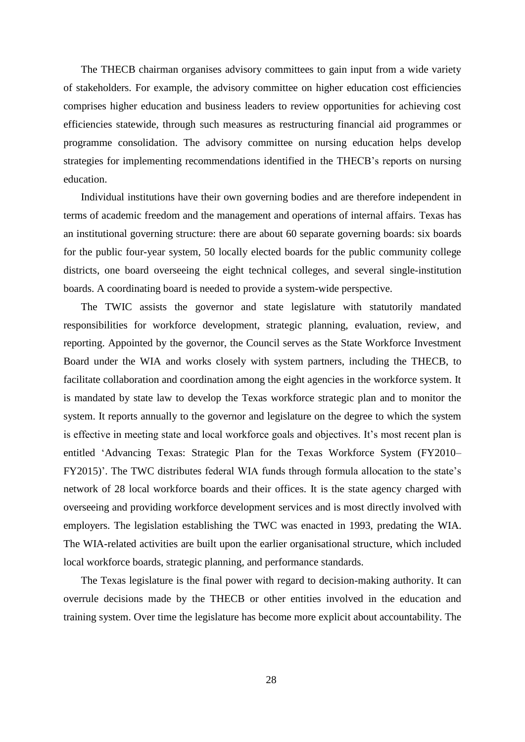The THECB chairman organises advisory committees to gain input from a wide variety of stakeholders. For example, the advisory committee on higher education cost efficiencies comprises higher education and business leaders to review opportunities for achieving cost efficiencies statewide, through such measures as restructuring financial aid programmes or programme consolidation. The advisory committee on nursing education helps develop strategies for implementing recommendations identified in the THECB's reports on nursing education.

Individual institutions have their own governing bodies and are therefore independent in terms of academic freedom and the management and operations of internal affairs. Texas has an institutional governing structure: there are about 60 separate governing boards: six boards for the public four-year system, 50 locally elected boards for the public community college districts, one board overseeing the eight technical colleges, and several single-institution boards. A coordinating board is needed to provide a system-wide perspective.

The TWIC assists the governor and state legislature with statutorily mandated responsibilities for workforce development, strategic planning, evaluation, review, and reporting. Appointed by the governor, the Council serves as the State Workforce Investment Board under the WIA and works closely with system partners, including the THECB, to facilitate collaboration and coordination among the eight agencies in the workforce system. It is mandated by state law to develop the Texas workforce strategic plan and to monitor the system. It reports annually to the governor and legislature on the degree to which the system is effective in meeting state and local workforce goals and objectives. It's most recent plan is entitled 'Advancing Texas: Strategic Plan for the Texas Workforce System (FY2010– FY2015)'. The TWC distributes federal WIA funds through formula allocation to the state's network of 28 local workforce boards and their offices. It is the state agency charged with overseeing and providing workforce development services and is most directly involved with employers. The legislation establishing the TWC was enacted in 1993, predating the WIA. The WIA-related activities are built upon the earlier organisational structure, which included local workforce boards, strategic planning, and performance standards.

The Texas legislature is the final power with regard to decision-making authority. It can overrule decisions made by the THECB or other entities involved in the education and training system. Over time the legislature has become more explicit about accountability. The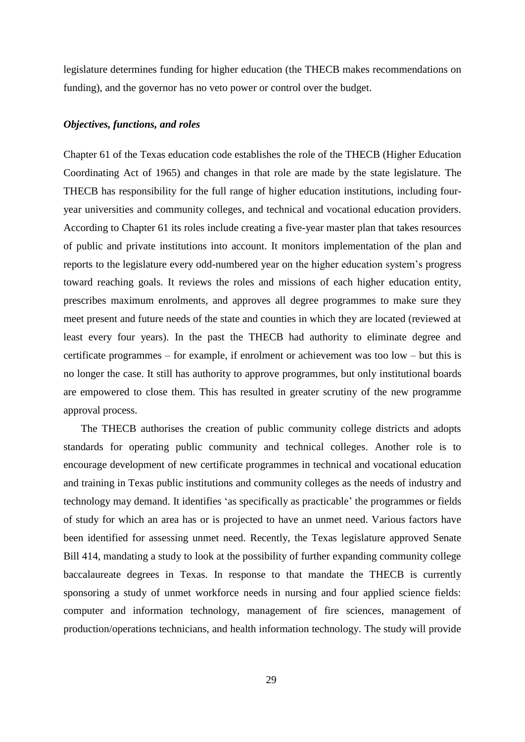legislature determines funding for higher education (the THECB makes recommendations on funding), and the governor has no veto power or control over the budget.

#### *Objectives, functions, and roles*

Chapter 61 of the Texas education code establishes the role of the THECB (Higher Education Coordinating Act of 1965) and changes in that role are made by the state legislature. The THECB has responsibility for the full range of higher education institutions, including fouryear universities and community colleges, and technical and vocational education providers. According to Chapter 61 its roles include creating a five-year master plan that takes resources of public and private institutions into account. It monitors implementation of the plan and reports to the legislature every odd-numbered year on the higher education system's progress toward reaching goals. It reviews the roles and missions of each higher education entity, prescribes maximum enrolments, and approves all degree programmes to make sure they meet present and future needs of the state and counties in which they are located (reviewed at least every four years). In the past the THECB had authority to eliminate degree and certificate programmes – for example, if enrolment or achievement was too low – but this is no longer the case. It still has authority to approve programmes, but only institutional boards are empowered to close them. This has resulted in greater scrutiny of the new programme approval process.

The THECB authorises the creation of public community college districts and adopts standards for operating public community and technical colleges. Another role is to encourage development of new certificate programmes in technical and vocational education and training in Texas public institutions and community colleges as the needs of industry and technology may demand. It identifies 'as specifically as practicable' the programmes or fields of study for which an area has or is projected to have an unmet need. Various factors have been identified for assessing unmet need. Recently, the Texas legislature approved Senate Bill 414, mandating a study to look at the possibility of further expanding community college baccalaureate degrees in Texas. In response to that mandate the THECB is currently sponsoring a study of unmet workforce needs in nursing and four applied science fields: computer and information technology, management of fire sciences, management of production/operations technicians, and health information technology. The study will provide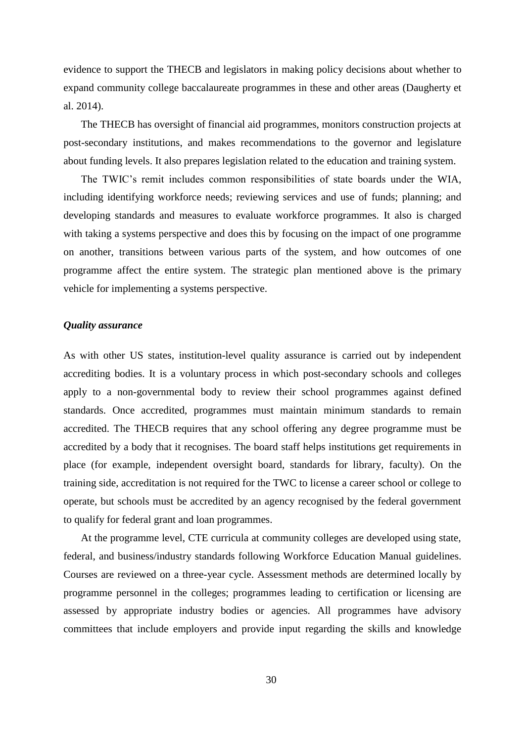evidence to support the THECB and legislators in making policy decisions about whether to expand community college baccalaureate programmes in these and other areas (Daugherty et al. 2014).

The THECB has oversight of financial aid programmes, monitors construction projects at post-secondary institutions, and makes recommendations to the governor and legislature about funding levels. It also prepares legislation related to the education and training system.

The TWIC's remit includes common responsibilities of state boards under the WIA, including identifying workforce needs; reviewing services and use of funds; planning; and developing standards and measures to evaluate workforce programmes. It also is charged with taking a systems perspective and does this by focusing on the impact of one programme on another, transitions between various parts of the system, and how outcomes of one programme affect the entire system. The strategic plan mentioned above is the primary vehicle for implementing a systems perspective.

#### *Quality assurance*

As with other US states, institution-level quality assurance is carried out by independent accrediting bodies. It is a voluntary process in which post-secondary schools and colleges apply to a non-governmental body to review their school programmes against defined standards. Once accredited, programmes must maintain minimum standards to remain accredited. The THECB requires that any school offering any degree programme must be accredited by a body that it recognises. The board staff helps institutions get requirements in place (for example, independent oversight board, standards for library, faculty). On the training side, accreditation is not required for the TWC to license a career school or college to operate, but schools must be accredited by an agency recognised by the federal government to qualify for federal grant and loan programmes.

At the programme level, CTE curricula at community colleges are developed using state, federal, and business/industry standards following Workforce Education Manual guidelines. Courses are reviewed on a three-year cycle. Assessment methods are determined locally by programme personnel in the colleges; programmes leading to certification or licensing are assessed by appropriate industry bodies or agencies. All programmes have advisory committees that include employers and provide input regarding the skills and knowledge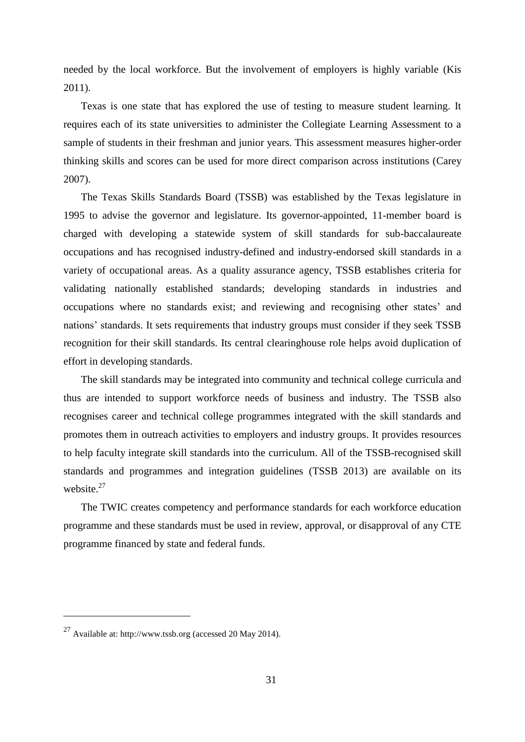needed by the local workforce. But the involvement of employers is highly variable (Kis 2011).

Texas is one state that has explored the use of testing to measure student learning. It requires each of its state universities to administer the Collegiate Learning Assessment to a sample of students in their freshman and junior years. This assessment measures higher-order thinking skills and scores can be used for more direct comparison across institutions (Carey 2007).

The Texas Skills Standards Board (TSSB) was established by the Texas legislature in 1995 to advise the governor and legislature. Its governor-appointed, 11-member board is charged with developing a statewide system of skill standards for sub-baccalaureate occupations and has recognised industry-defined and industry-endorsed skill standards in a variety of occupational areas. As a quality assurance agency, TSSB establishes criteria for validating nationally established standards; developing standards in industries and occupations where no standards exist; and reviewing and recognising other states' and nations' standards. It sets requirements that industry groups must consider if they seek TSSB recognition for their skill standards. Its central clearinghouse role helps avoid duplication of effort in developing standards.

The skill standards may be integrated into community and technical college curricula and thus are intended to support workforce needs of business and industry. The TSSB also recognises career and technical college programmes integrated with the skill standards and promotes them in outreach activities to employers and industry groups. It provides resources to help faculty integrate skill standards into the curriculum. All of the TSSB-recognised skill standards and programmes and integration guidelines (TSSB 2013) are available on its website.<sup>27</sup>

The TWIC creates competency and performance standards for each workforce education programme and these standards must be used in review, approval, or disapproval of any CTE programme financed by state and federal funds.

<u>.</u>

<sup>27</sup> Available at: http://www.tssb.org (accessed 20 May 2014).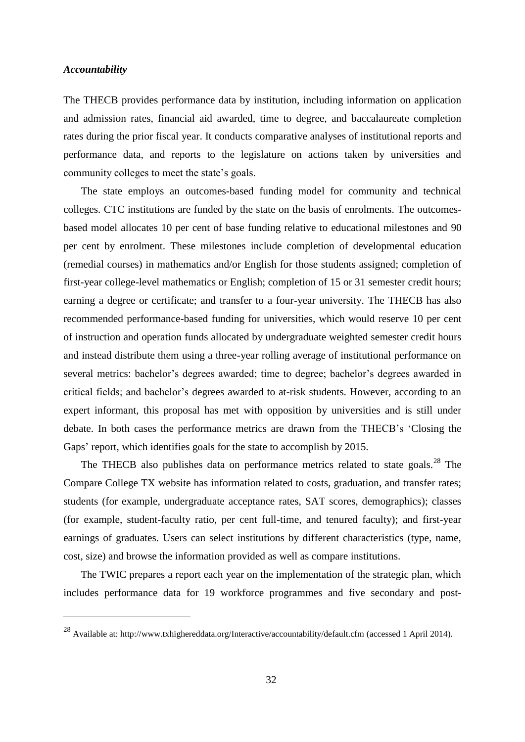#### *Accountability*

<u>.</u>

The THECB provides performance data by institution, including information on application and admission rates, financial aid awarded, time to degree, and baccalaureate completion rates during the prior fiscal year. It conducts comparative analyses of institutional reports and performance data, and reports to the legislature on actions taken by universities and community colleges to meet the state's goals.

The state employs an outcomes-based funding model for community and technical colleges. CTC institutions are funded by the state on the basis of enrolments. The outcomesbased model allocates 10 per cent of base funding relative to educational milestones and 90 per cent by enrolment. These milestones include completion of developmental education (remedial courses) in mathematics and/or English for those students assigned; completion of first-year college-level mathematics or English; completion of 15 or 31 semester credit hours; earning a degree or certificate; and transfer to a four-year university. The THECB has also recommended performance-based funding for universities, which would reserve 10 per cent of instruction and operation funds allocated by undergraduate weighted semester credit hours and instead distribute them using a three-year rolling average of institutional performance on several metrics: bachelor's degrees awarded; time to degree; bachelor's degrees awarded in critical fields; and bachelor's degrees awarded to at-risk students. However, according to an expert informant, this proposal has met with opposition by universities and is still under debate. In both cases the performance metrics are drawn from the THECB's 'Closing the Gaps' report, which identifies goals for the state to accomplish by 2015.

The THECB also publishes data on performance metrics related to state goals.<sup>28</sup> The Compare College TX website has information related to costs, graduation, and transfer rates; students (for example, undergraduate acceptance rates, SAT scores, demographics); classes (for example, student-faculty ratio, per cent full-time, and tenured faculty); and first-year earnings of graduates. Users can select institutions by different characteristics (type, name, cost, size) and browse the information provided as well as compare institutions.

The TWIC prepares a report each year on the implementation of the strategic plan, which includes performance data for 19 workforce programmes and five secondary and post-

<sup>28</sup> Available at: http://www.txhighereddata.org/Interactive/accountability/default.cfm (accessed 1 April 2014).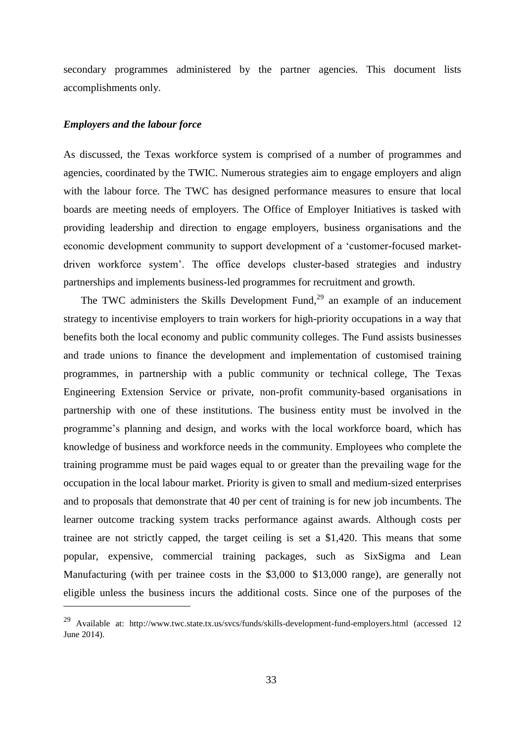secondary programmes administered by the partner agencies. This document lists accomplishments only.

#### *Employers and the labour force*

1

As discussed, the Texas workforce system is comprised of a number of programmes and agencies, coordinated by the TWIC. Numerous strategies aim to engage employers and align with the labour force. The TWC has designed performance measures to ensure that local boards are meeting needs of employers. The Office of Employer Initiatives is tasked with providing leadership and direction to engage employers, business organisations and the economic development community to support development of a 'customer-focused marketdriven workforce system'. The office develops cluster-based strategies and industry partnerships and implements business-led programmes for recruitment and growth.

The TWC administers the Skills Development Fund, $^{29}$  an example of an inducement strategy to incentivise employers to train workers for high-priority occupations in a way that benefits both the local economy and public community colleges. The Fund assists businesses and trade unions to finance the development and implementation of customised training programmes, in partnership with a public community or technical college, The Texas Engineering Extension Service or private, non-profit community-based organisations in partnership with one of these institutions. The business entity must be involved in the programme's planning and design, and works with the local workforce board, which has knowledge of business and workforce needs in the community. Employees who complete the training programme must be paid wages equal to or greater than the prevailing wage for the occupation in the local labour market. Priority is given to small and medium-sized enterprises and to proposals that demonstrate that 40 per cent of training is for new job incumbents. The learner outcome tracking system tracks performance against awards. Although costs per trainee are not strictly capped, the target ceiling is set a \$1,420. This means that some popular, expensive, commercial training packages, such as SixSigma and Lean Manufacturing (with per trainee costs in the \$3,000 to \$13,000 range), are generally not eligible unless the business incurs the additional costs. Since one of the purposes of the

<sup>29</sup> Available at: http://www.twc.state.tx.us/svcs/funds/skills-development-fund-employers.html (accessed 12 June 2014).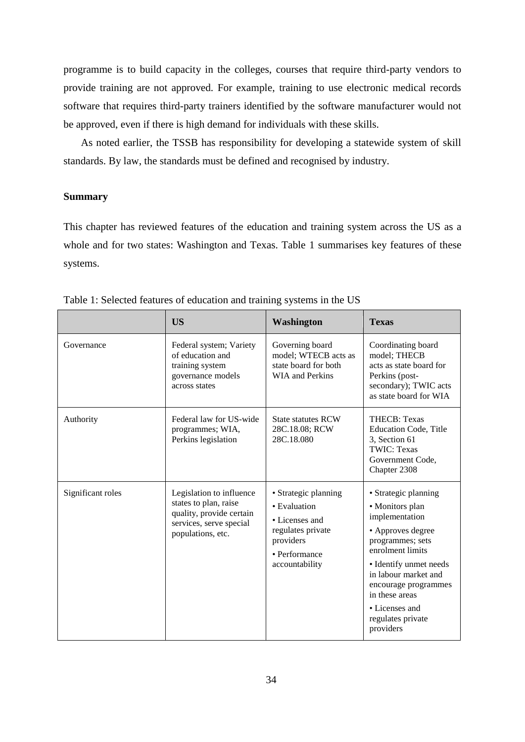programme is to build capacity in the colleges, courses that require third-party vendors to provide training are not approved. For example, training to use electronic medical records software that requires third-party trainers identified by the software manufacturer would not be approved, even if there is high demand for individuals with these skills.

As noted earlier, the TSSB has responsibility for developing a statewide system of skill standards. By law, the standards must be defined and recognised by industry.

#### **Summary**

This chapter has reviewed features of the education and training system across the US as a whole and for two states: Washington and Texas. Table 1 summarises key features of these systems.

|                   | <b>US</b>                                                                                                                     | <b>Washington</b>                                                                                                           | <b>Texas</b>                                                                                                                                                                                                                                                           |
|-------------------|-------------------------------------------------------------------------------------------------------------------------------|-----------------------------------------------------------------------------------------------------------------------------|------------------------------------------------------------------------------------------------------------------------------------------------------------------------------------------------------------------------------------------------------------------------|
| Governance        | Federal system; Variety<br>of education and<br>training system<br>governance models<br>across states                          | Governing board<br>model; WTECB acts as<br>state board for both<br>WIA and Perkins                                          | Coordinating board<br>model; THECB<br>acts as state board for<br>Perkins (post-<br>secondary); TWIC acts<br>as state board for WIA                                                                                                                                     |
| Authority         | Federal law for US-wide<br>programmes; WIA,<br>Perkins legislation                                                            | <b>State statutes RCW</b><br>28C.18.08; RCW<br>28C.18.080                                                                   | <b>THECB</b> : Texas<br><b>Education Code, Title</b><br>3, Section 61<br><b>TWIC: Texas</b><br>Government Code,<br>Chapter 2308                                                                                                                                        |
| Significant roles | Legislation to influence<br>states to plan, raise<br>quality, provide certain<br>services, serve special<br>populations, etc. | • Strategic planning<br>• Evaluation<br>• Licenses and<br>regulates private<br>providers<br>• Performance<br>accountability | • Strategic planning<br>• Monitors plan<br>implementation<br>• Approves degree<br>programmes; sets<br>enrolment limits<br>• Identify unmet needs<br>in labour market and<br>encourage programmes<br>in these areas<br>• Licenses and<br>regulates private<br>providers |

Table 1: Selected features of education and training systems in the US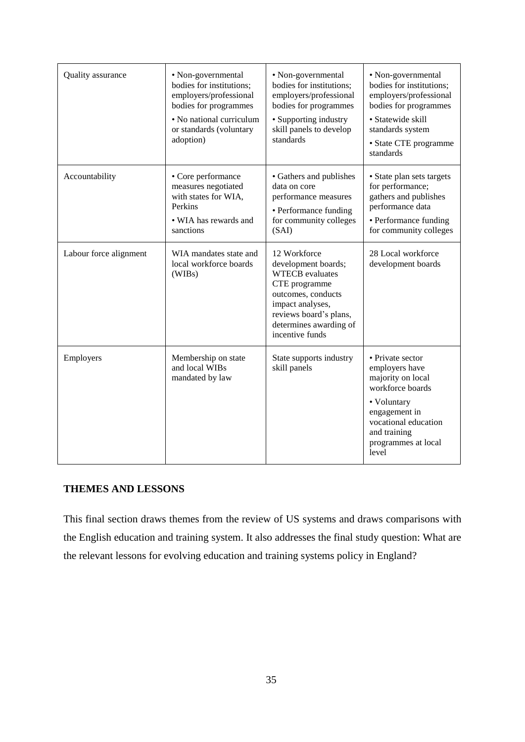| Quality assurance      | • Non-governmental<br>bodies for institutions;<br>employers/professional<br>bodies for programmes<br>• No national curriculum<br>or standards (voluntary<br>adoption) | • Non-governmental<br>bodies for institutions;<br>employers/professional<br>bodies for programmes<br>• Supporting industry<br>skill panels to develop<br>standards                              | • Non-governmental<br>bodies for institutions;<br>employers/professional<br>bodies for programmes<br>· Statewide skill<br>standards system<br>• State CTE programme<br>standards    |
|------------------------|-----------------------------------------------------------------------------------------------------------------------------------------------------------------------|-------------------------------------------------------------------------------------------------------------------------------------------------------------------------------------------------|-------------------------------------------------------------------------------------------------------------------------------------------------------------------------------------|
| Accountability         | • Core performance<br>measures negotiated<br>with states for WIA,<br>Perkins<br>• WIA has rewards and<br>sanctions                                                    | • Gathers and publishes<br>data on core<br>performance measures<br>• Performance funding<br>for community colleges<br>(SAI)                                                                     | • State plan sets targets<br>for performance;<br>gathers and publishes<br>performance data<br>• Performance funding<br>for community colleges                                       |
| Labour force alignment | WIA mandates state and<br>local workforce boards<br>(WIBs)                                                                                                            | 12 Workforce<br>development boards;<br><b>WTECB</b> evaluates<br>CTE programme<br>outcomes, conducts<br>impact analyses,<br>reviews board's plans,<br>determines awarding of<br>incentive funds | 28 Local workforce<br>development boards                                                                                                                                            |
| Employers              | Membership on state<br>and local WIBs<br>mandated by law                                                                                                              | State supports industry<br>skill panels                                                                                                                                                         | • Private sector<br>employers have<br>majority on local<br>workforce boards<br>• Voluntary<br>engagement in<br>vocational education<br>and training<br>programmes at local<br>level |

### **THEMES AND LESSONS**

This final section draws themes from the review of US systems and draws comparisons with the English education and training system. It also addresses the final study question: What are the relevant lessons for evolving education and training systems policy in England?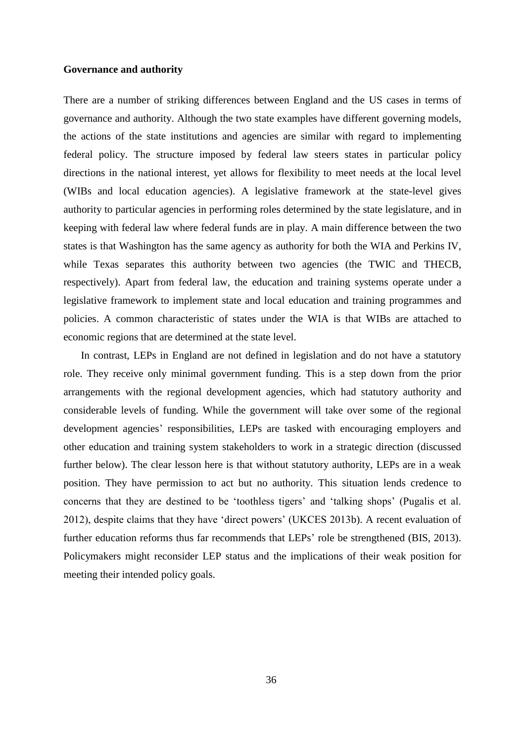#### **Governance and authority**

There are a number of striking differences between England and the US cases in terms of governance and authority. Although the two state examples have different governing models, the actions of the state institutions and agencies are similar with regard to implementing federal policy. The structure imposed by federal law steers states in particular policy directions in the national interest, yet allows for flexibility to meet needs at the local level (WIBs and local education agencies). A legislative framework at the state-level gives authority to particular agencies in performing roles determined by the state legislature, and in keeping with federal law where federal funds are in play. A main difference between the two states is that Washington has the same agency as authority for both the WIA and Perkins IV, while Texas separates this authority between two agencies (the TWIC and THECB, respectively). Apart from federal law, the education and training systems operate under a legislative framework to implement state and local education and training programmes and policies. A common characteristic of states under the WIA is that WIBs are attached to economic regions that are determined at the state level.

In contrast, LEPs in England are not defined in legislation and do not have a statutory role. They receive only minimal government funding. This is a step down from the prior arrangements with the regional development agencies, which had statutory authority and considerable levels of funding. While the government will take over some of the regional development agencies' responsibilities, LEPs are tasked with encouraging employers and other education and training system stakeholders to work in a strategic direction (discussed further below). The clear lesson here is that without statutory authority, LEPs are in a weak position. They have permission to act but no authority. This situation lends credence to concerns that they are destined to be 'toothless tigers' and 'talking shops' (Pugalis et al. 2012), despite claims that they have 'direct powers' (UKCES 2013b). A recent evaluation of further education reforms thus far recommends that LEPs' role be strengthened (BIS, 2013). Policymakers might reconsider LEP status and the implications of their weak position for meeting their intended policy goals.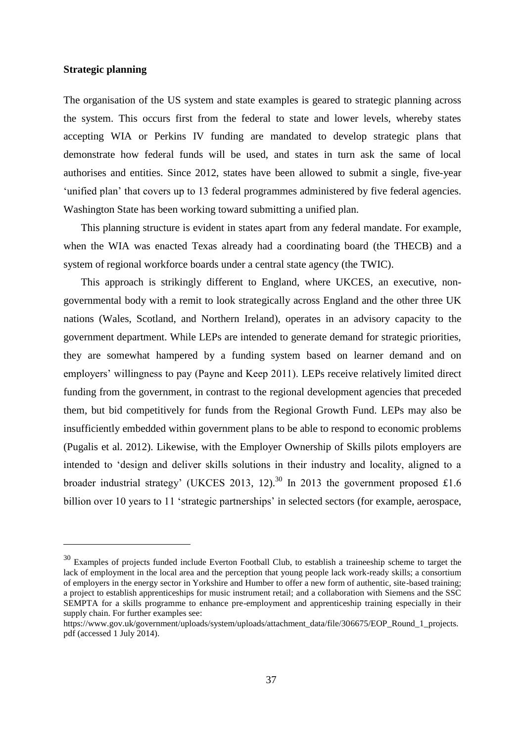#### **Strategic planning**

1

The organisation of the US system and state examples is geared to strategic planning across the system. This occurs first from the federal to state and lower levels, whereby states accepting WIA or Perkins IV funding are mandated to develop strategic plans that demonstrate how federal funds will be used, and states in turn ask the same of local authorises and entities. Since 2012, states have been allowed to submit a single, five-year 'unified plan' that covers up to 13 federal programmes administered by five federal agencies. Washington State has been working toward submitting a unified plan.

This planning structure is evident in states apart from any federal mandate. For example, when the WIA was enacted Texas already had a coordinating board (the THECB) and a system of regional workforce boards under a central state agency (the TWIC).

This approach is strikingly different to England, where UKCES, an executive, nongovernmental body with a remit to look strategically across England and the other three UK nations (Wales, Scotland, and Northern Ireland), operates in an advisory capacity to the government department. While LEPs are intended to generate demand for strategic priorities, they are somewhat hampered by a funding system based on learner demand and on employers' willingness to pay (Payne and Keep 2011). LEPs receive relatively limited direct funding from the government, in contrast to the regional development agencies that preceded them, but bid competitively for funds from the Regional Growth Fund. LEPs may also be insufficiently embedded within government plans to be able to respond to economic problems (Pugalis et al. 2012). Likewise, with the Employer Ownership of Skills pilots employers are intended to 'design and deliver skills solutions in their industry and locality, aligned to a broader industrial strategy' (UKCES 2013, 12).<sup>30</sup> In 2013 the government proposed £1.6 billion over 10 years to 11 'strategic partnerships' in selected sectors (for example, aerospace,

<sup>&</sup>lt;sup>30</sup> Examples of projects funded include Everton Football Club, to establish a traineeship scheme to target the lack of employment in the local area and the perception that young people lack work-ready skills; a consortium of employers in the energy sector in Yorkshire and Humber to offer a new form of authentic, site-based training; a project to establish apprenticeships for music instrument retail; and a collaboration with Siemens and the SSC SEMPTA for a skills programme to enhance pre-employment and apprenticeship training especially in their supply chain. For further examples see:

https://www.gov.uk/government/uploads/system/uploads/attachment\_data/file/306675/EOP\_Round\_1\_projects. pdf (accessed 1 July 2014).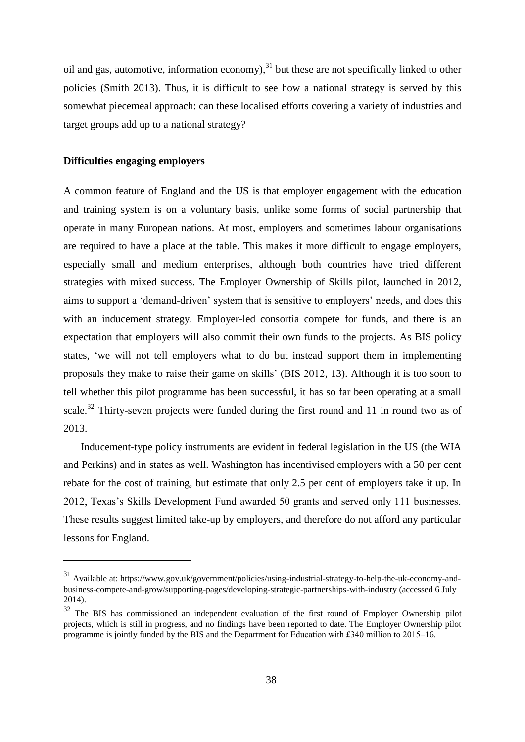oil and gas, automotive, information economy), $31$  but these are not specifically linked to other policies (Smith 2013). Thus, it is difficult to see how a national strategy is served by this somewhat piecemeal approach: can these localised efforts covering a variety of industries and target groups add up to a national strategy?

#### **Difficulties engaging employers**

1

A common feature of England and the US is that employer engagement with the education and training system is on a voluntary basis, unlike some forms of social partnership that operate in many European nations. At most, employers and sometimes labour organisations are required to have a place at the table. This makes it more difficult to engage employers, especially small and medium enterprises, although both countries have tried different strategies with mixed success. The Employer Ownership of Skills pilot, launched in 2012, aims to support a 'demand-driven' system that is sensitive to employers' needs, and does this with an inducement strategy. Employer-led consortia compete for funds, and there is an expectation that employers will also commit their own funds to the projects. As BIS policy states, 'we will not tell employers what to do but instead support them in implementing proposals they make to raise their game on skills' (BIS 2012, 13). Although it is too soon to tell whether this pilot programme has been successful, it has so far been operating at a small scale.<sup>32</sup> Thirty-seven projects were funded during the first round and 11 in round two as of 2013.

Inducement-type policy instruments are evident in federal legislation in the US (the WIA and Perkins) and in states as well. Washington has incentivised employers with a 50 per cent rebate for the cost of training, but estimate that only 2.5 per cent of employers take it up. In 2012, Texas's Skills Development Fund awarded 50 grants and served only 111 businesses. These results suggest limited take-up by employers, and therefore do not afford any particular lessons for England.

<sup>31</sup> Available at: https://www.gov.uk/government/policies/using-industrial-strategy-to-help-the-uk-economy-andbusiness-compete-and-grow/supporting-pages/developing-strategic-partnerships-with-industry (accessed 6 July 2014).

<sup>&</sup>lt;sup>32</sup> The BIS has commissioned an independent evaluation of the first round of Employer Ownership pilot projects, which is still in progress, and no findings have been reported to date. The Employer Ownership pilot programme is jointly funded by the BIS and the Department for Education with £340 million to 2015–16.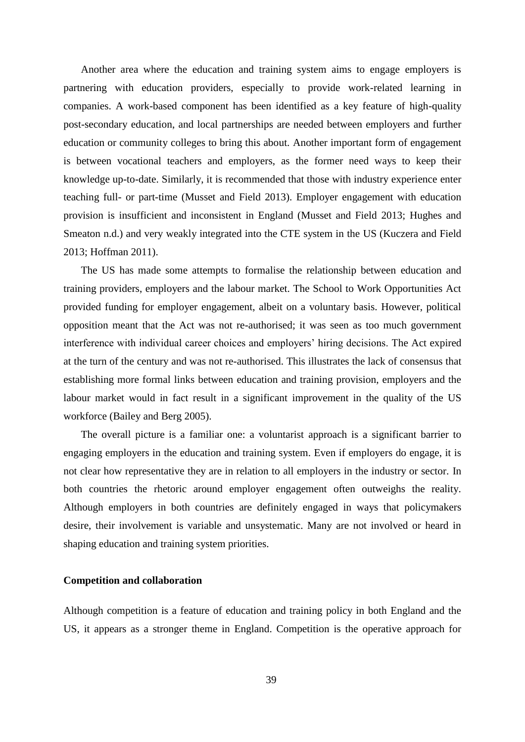Another area where the education and training system aims to engage employers is partnering with education providers, especially to provide work-related learning in companies. A work-based component has been identified as a key feature of high-quality post-secondary education, and local partnerships are needed between employers and further education or community colleges to bring this about. Another important form of engagement is between vocational teachers and employers, as the former need ways to keep their knowledge up-to-date. Similarly, it is recommended that those with industry experience enter teaching full- or part-time (Musset and Field 2013). Employer engagement with education provision is insufficient and inconsistent in England (Musset and Field 2013; Hughes and Smeaton n.d.) and very weakly integrated into the CTE system in the US (Kuczera and Field 2013; Hoffman 2011).

The US has made some attempts to formalise the relationship between education and training providers, employers and the labour market. The School to Work Opportunities Act provided funding for employer engagement, albeit on a voluntary basis. However, political opposition meant that the Act was not re-authorised; it was seen as too much government interference with individual career choices and employers' hiring decisions. The Act expired at the turn of the century and was not re-authorised. This illustrates the lack of consensus that establishing more formal links between education and training provision, employers and the labour market would in fact result in a significant improvement in the quality of the US workforce (Bailey and Berg 2005).

The overall picture is a familiar one: a voluntarist approach is a significant barrier to engaging employers in the education and training system. Even if employers do engage, it is not clear how representative they are in relation to all employers in the industry or sector. In both countries the rhetoric around employer engagement often outweighs the reality. Although employers in both countries are definitely engaged in ways that policymakers desire, their involvement is variable and unsystematic. Many are not involved or heard in shaping education and training system priorities.

#### **Competition and collaboration**

Although competition is a feature of education and training policy in both England and the US, it appears as a stronger theme in England. Competition is the operative approach for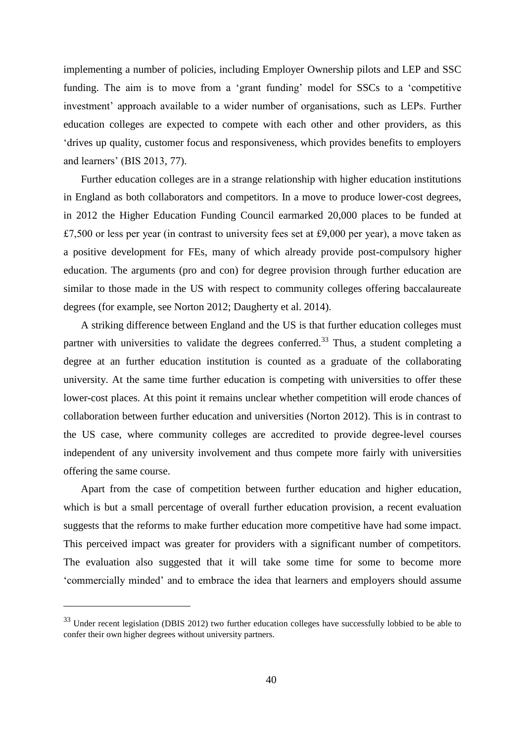implementing a number of policies, including Employer Ownership pilots and LEP and SSC funding. The aim is to move from a 'grant funding' model for SSCs to a 'competitive investment' approach available to a wider number of organisations, such as LEPs. Further education colleges are expected to compete with each other and other providers, as this 'drives up quality, customer focus and responsiveness, which provides benefits to employers and learners' (BIS 2013, 77).

Further education colleges are in a strange relationship with higher education institutions in England as both collaborators and competitors. In a move to produce lower-cost degrees, in 2012 the Higher Education Funding Council earmarked 20,000 places to be funded at £7,500 or less per year (in contrast to university fees set at £9,000 per year), a move taken as a positive development for FEs, many of which already provide post-compulsory higher education. The arguments (pro and con) for degree provision through further education are similar to those made in the US with respect to community colleges offering baccalaureate degrees (for example, see Norton 2012; Daugherty et al. 2014).

A striking difference between England and the US is that further education colleges must partner with universities to validate the degrees conferred.<sup>33</sup> Thus, a student completing a degree at an further education institution is counted as a graduate of the collaborating university. At the same time further education is competing with universities to offer these lower-cost places. At this point it remains unclear whether competition will erode chances of collaboration between further education and universities (Norton 2012). This is in contrast to the US case, where community colleges are accredited to provide degree-level courses independent of any university involvement and thus compete more fairly with universities offering the same course.

Apart from the case of competition between further education and higher education, which is but a small percentage of overall further education provision, a recent evaluation suggests that the reforms to make further education more competitive have had some impact. This perceived impact was greater for providers with a significant number of competitors. The evaluation also suggested that it will take some time for some to become more 'commercially minded' and to embrace the idea that learners and employers should assume

1

<sup>&</sup>lt;sup>33</sup> Under recent legislation (DBIS 2012) two further education colleges have successfully lobbied to be able to confer their own higher degrees without university partners.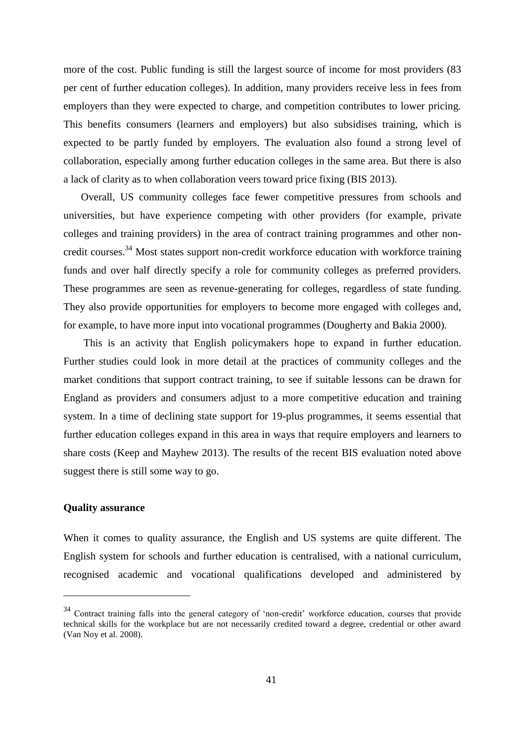more of the cost. Public funding is still the largest source of income for most providers (83 per cent of further education colleges). In addition, many providers receive less in fees from employers than they were expected to charge, and competition contributes to lower pricing. This benefits consumers (learners and employers) but also subsidises training, which is expected to be partly funded by employers. The evaluation also found a strong level of collaboration, especially among further education colleges in the same area. But there is also a lack of clarity as to when collaboration veers toward price fixing (BIS 2013).

Overall, US community colleges face fewer competitive pressures from schools and universities, but have experience competing with other providers (for example, private colleges and training providers) in the area of contract training programmes and other noncredit courses.<sup>34</sup> Most states support non-credit workforce education with workforce training funds and over half directly specify a role for community colleges as preferred providers. These programmes are seen as revenue-generating for colleges, regardless of state funding. They also provide opportunities for employers to become more engaged with colleges and, for example, to have more input into vocational programmes (Dougherty and Bakia 2000).

This is an activity that English policymakers hope to expand in further education. Further studies could look in more detail at the practices of community colleges and the market conditions that support contract training, to see if suitable lessons can be drawn for England as providers and consumers adjust to a more competitive education and training system. In a time of declining state support for 19-plus programmes, it seems essential that further education colleges expand in this area in ways that require employers and learners to share costs (Keep and Mayhew 2013). The results of the recent BIS evaluation noted above suggest there is still some way to go.

#### **Quality assurance**

1

When it comes to quality assurance, the English and US systems are quite different. The English system for schools and further education is centralised, with a national curriculum, recognised academic and vocational qualifications developed and administered by

<sup>&</sup>lt;sup>34</sup> Contract training falls into the general category of 'non-credit' workforce education, courses that provide technical skills for the workplace but are not necessarily credited toward a degree, credential or other award (Van Noy et al. 2008).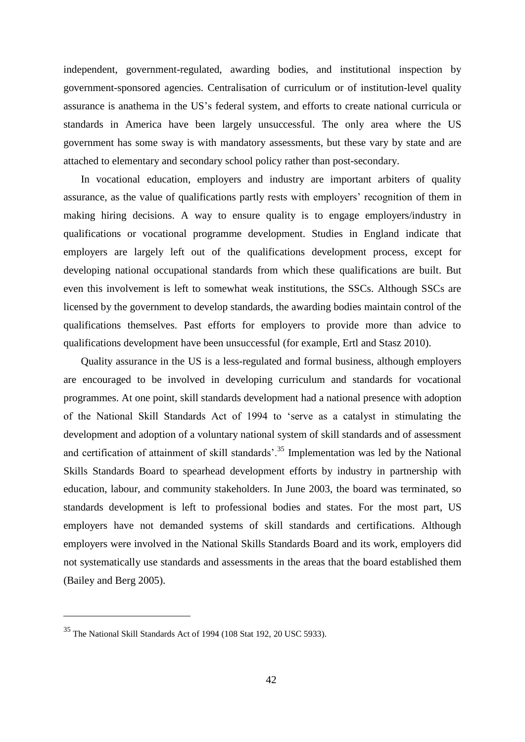independent, government-regulated, awarding bodies, and institutional inspection by government-sponsored agencies. Centralisation of curriculum or of institution-level quality assurance is anathema in the US's federal system, and efforts to create national curricula or standards in America have been largely unsuccessful. The only area where the US government has some sway is with mandatory assessments, but these vary by state and are attached to elementary and secondary school policy rather than post-secondary.

In vocational education, employers and industry are important arbiters of quality assurance, as the value of qualifications partly rests with employers' recognition of them in making hiring decisions. A way to ensure quality is to engage employers/industry in qualifications or vocational programme development. Studies in England indicate that employers are largely left out of the qualifications development process, except for developing national occupational standards from which these qualifications are built. But even this involvement is left to somewhat weak institutions, the SSCs. Although SSCs are licensed by the government to develop standards, the awarding bodies maintain control of the qualifications themselves. Past efforts for employers to provide more than advice to qualifications development have been unsuccessful (for example, Ertl and Stasz 2010).

Quality assurance in the US is a less-regulated and formal business, although employers are encouraged to be involved in developing curriculum and standards for vocational programmes. At one point, skill standards development had a national presence with adoption of the National Skill Standards Act of 1994 to 'serve as a catalyst in stimulating the development and adoption of a voluntary national system of skill standards and of assessment and certification of attainment of skill standards<sup> $35$ </sup> Implementation was led by the National Skills Standards Board to spearhead development efforts by industry in partnership with education, labour, and community stakeholders. In June 2003, the board was terminated, so standards development is left to professional bodies and states. For the most part, US employers have not demanded systems of skill standards and certifications. Although employers were involved in the National Skills Standards Board and its work, employers did not systematically use standards and assessments in the areas that the board established them (Bailey and Berg 2005).

<u>.</u>

<sup>35</sup> The National Skill Standards Act of 1994 (108 Stat 192, 20 USC 5933).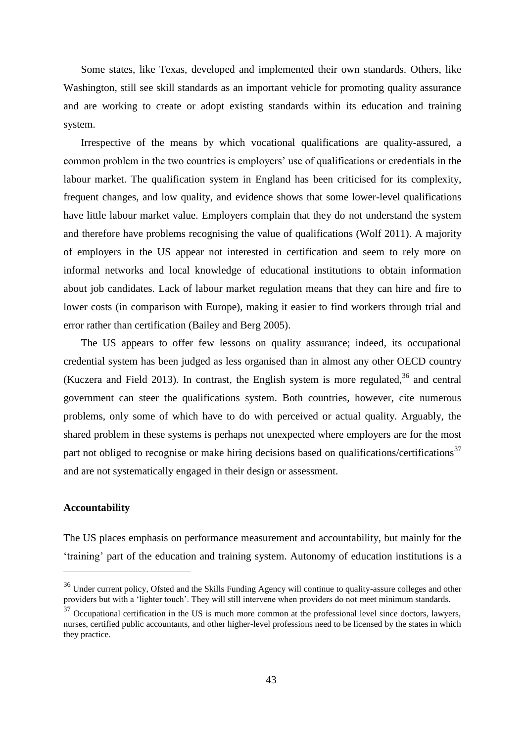Some states, like Texas, developed and implemented their own standards. Others, like Washington, still see skill standards as an important vehicle for promoting quality assurance and are working to create or adopt existing standards within its education and training system.

Irrespective of the means by which vocational qualifications are quality-assured, a common problem in the two countries is employers' use of qualifications or credentials in the labour market. The qualification system in England has been criticised for its complexity, frequent changes, and low quality, and evidence shows that some lower-level qualifications have little labour market value. Employers complain that they do not understand the system and therefore have problems recognising the value of qualifications (Wolf 2011). A majority of employers in the US appear not interested in certification and seem to rely more on informal networks and local knowledge of educational institutions to obtain information about job candidates. Lack of labour market regulation means that they can hire and fire to lower costs (in comparison with Europe), making it easier to find workers through trial and error rather than certification (Bailey and Berg 2005).

The US appears to offer few lessons on quality assurance; indeed, its occupational credential system has been judged as less organised than in almost any other OECD country (Kuczera and Field 2013). In contrast, the English system is more regulated,  $36$  and central government can steer the qualifications system. Both countries, however, cite numerous problems, only some of which have to do with perceived or actual quality. Arguably, the shared problem in these systems is perhaps not unexpected where employers are for the most part not obliged to recognise or make hiring decisions based on qualifications/certifications $37$ and are not systematically engaged in their design or assessment.

#### **Accountability**

<u>.</u>

The US places emphasis on performance measurement and accountability, but mainly for the 'training' part of the education and training system. Autonomy of education institutions is a

<sup>&</sup>lt;sup>36</sup> Under current policy, Ofsted and the Skills Funding Agency will continue to quality-assure colleges and other providers but with a 'lighter touch'. They will still intervene when providers do not meet minimum standards.

 $37$  Occupational certification in the US is much more common at the professional level since doctors, lawyers, nurses, certified public accountants, and other higher-level professions need to be licensed by the states in which they practice.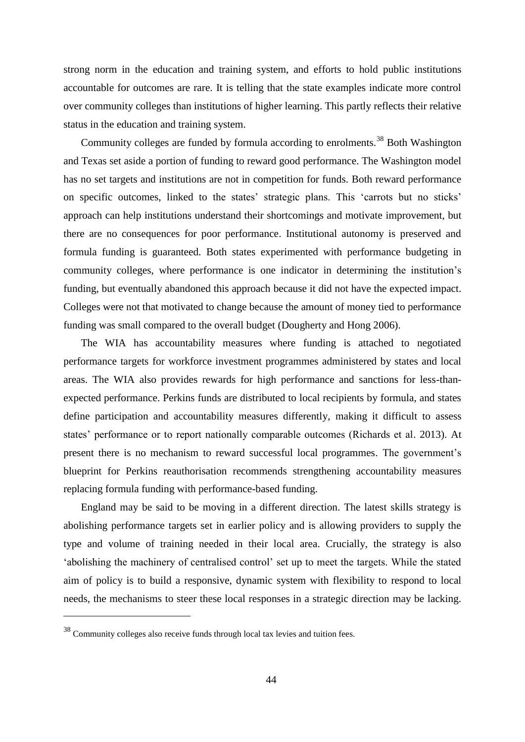strong norm in the education and training system, and efforts to hold public institutions accountable for outcomes are rare. It is telling that the state examples indicate more control over community colleges than institutions of higher learning. This partly reflects their relative status in the education and training system.

Community colleges are funded by formula according to enrolments.<sup>38</sup> Both Washington and Texas set aside a portion of funding to reward good performance. The Washington model has no set targets and institutions are not in competition for funds. Both reward performance on specific outcomes, linked to the states' strategic plans. This 'carrots but no sticks' approach can help institutions understand their shortcomings and motivate improvement, but there are no consequences for poor performance. Institutional autonomy is preserved and formula funding is guaranteed. Both states experimented with performance budgeting in community colleges, where performance is one indicator in determining the institution's funding, but eventually abandoned this approach because it did not have the expected impact. Colleges were not that motivated to change because the amount of money tied to performance funding was small compared to the overall budget (Dougherty and Hong 2006).

The WIA has accountability measures where funding is attached to negotiated performance targets for workforce investment programmes administered by states and local areas. The WIA also provides rewards for high performance and sanctions for less-thanexpected performance. Perkins funds are distributed to local recipients by formula, and states define participation and accountability measures differently, making it difficult to assess states' performance or to report nationally comparable outcomes (Richards et al. 2013). At present there is no mechanism to reward successful local programmes. The government's blueprint for Perkins reauthorisation recommends strengthening accountability measures replacing formula funding with performance-based funding.

England may be said to be moving in a different direction. The latest skills strategy is abolishing performance targets set in earlier policy and is allowing providers to supply the type and volume of training needed in their local area. Crucially, the strategy is also 'abolishing the machinery of centralised control' set up to meet the targets. While the stated aim of policy is to build a responsive, dynamic system with flexibility to respond to local needs, the mechanisms to steer these local responses in a strategic direction may be lacking.

<u>.</u>

<sup>38</sup> Community colleges also receive funds through local tax levies and tuition fees.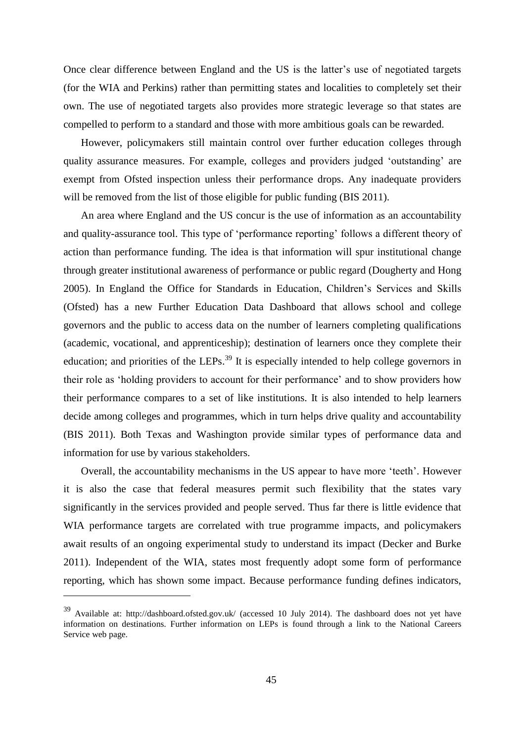Once clear difference between England and the US is the latter's use of negotiated targets (for the WIA and Perkins) rather than permitting states and localities to completely set their own. The use of negotiated targets also provides more strategic leverage so that states are compelled to perform to a standard and those with more ambitious goals can be rewarded.

However, policymakers still maintain control over further education colleges through quality assurance measures. For example, colleges and providers judged 'outstanding' are exempt from Ofsted inspection unless their performance drops. Any inadequate providers will be removed from the list of those eligible for public funding (BIS 2011).

An area where England and the US concur is the use of information as an accountability and quality-assurance tool. This type of 'performance reporting' follows a different theory of action than performance funding. The idea is that information will spur institutional change through greater institutional awareness of performance or public regard (Dougherty and Hong 2005). In England the Office for Standards in Education, Children's Services and Skills (Ofsted) has a new Further Education Data Dashboard that allows school and college governors and the public to access data on the number of learners completing qualifications (academic, vocational, and apprenticeship); destination of learners once they complete their education; and priorities of the LEPs.<sup>39</sup> It is especially intended to help college governors in their role as 'holding providers to account for their performance' and to show providers how their performance compares to a set of like institutions. It is also intended to help learners decide among colleges and programmes, which in turn helps drive quality and accountability (BIS 2011). Both Texas and Washington provide similar types of performance data and information for use by various stakeholders.

Overall, the accountability mechanisms in the US appear to have more 'teeth'. However it is also the case that federal measures permit such flexibility that the states vary significantly in the services provided and people served. Thus far there is little evidence that WIA performance targets are correlated with true programme impacts, and policymakers await results of an ongoing experimental study to understand its impact (Decker and Burke 2011). Independent of the WIA, states most frequently adopt some form of performance reporting, which has shown some impact. Because performance funding defines indicators,

1

<sup>39</sup> Available at: http://dashboard.ofsted.gov.uk/ (accessed 10 July 2014). The dashboard does not yet have information on destinations. Further information on LEPs is found through a link to the National Careers Service web page.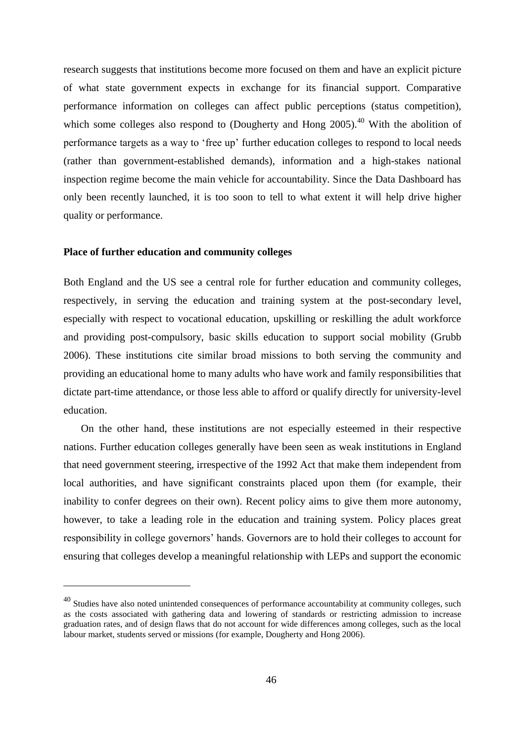research suggests that institutions become more focused on them and have an explicit picture of what state government expects in exchange for its financial support. Comparative performance information on colleges can affect public perceptions (status competition), which some colleges also respond to (Dougherty and Hong  $2005$ ).<sup>40</sup> With the abolition of performance targets as a way to 'free up' further education colleges to respond to local needs (rather than government-established demands), information and a high-stakes national inspection regime become the main vehicle for accountability. Since the Data Dashboard has only been recently launched, it is too soon to tell to what extent it will help drive higher quality or performance.

#### **Place of further education and community colleges**

<u>.</u>

Both England and the US see a central role for further education and community colleges, respectively, in serving the education and training system at the post-secondary level, especially with respect to vocational education, upskilling or reskilling the adult workforce and providing post-compulsory, basic skills education to support social mobility (Grubb 2006). These institutions cite similar broad missions to both serving the community and providing an educational home to many adults who have work and family responsibilities that dictate part-time attendance, or those less able to afford or qualify directly for university-level education.

On the other hand, these institutions are not especially esteemed in their respective nations. Further education colleges generally have been seen as weak institutions in England that need government steering, irrespective of the 1992 Act that make them independent from local authorities, and have significant constraints placed upon them (for example, their inability to confer degrees on their own). Recent policy aims to give them more autonomy, however, to take a leading role in the education and training system. Policy places great responsibility in college governors' hands. Governors are to hold their colleges to account for ensuring that colleges develop a meaningful relationship with LEPs and support the economic

<sup>&</sup>lt;sup>40</sup> Studies have also noted unintended consequences of performance accountability at community colleges, such as the costs associated with gathering data and lowering of standards or restricting admission to increase graduation rates, and of design flaws that do not account for wide differences among colleges, such as the local labour market, students served or missions (for example, Dougherty and Hong 2006).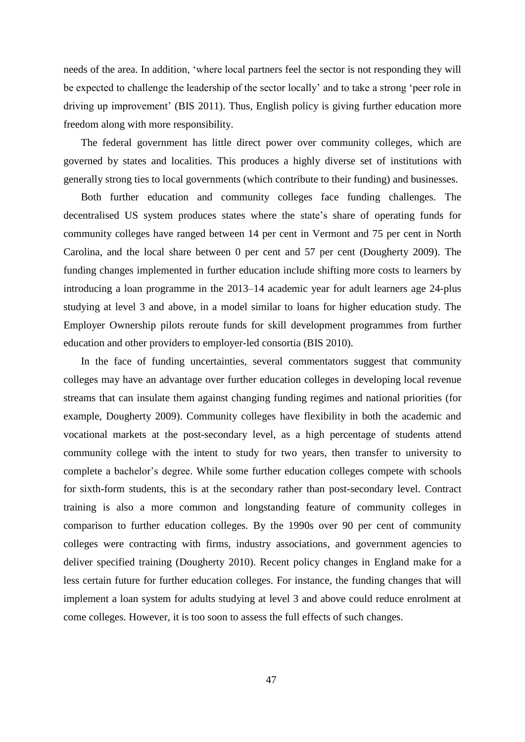needs of the area. In addition, 'where local partners feel the sector is not responding they will be expected to challenge the leadership of the sector locally' and to take a strong 'peer role in driving up improvement' (BIS 2011). Thus, English policy is giving further education more freedom along with more responsibility.

The federal government has little direct power over community colleges, which are governed by states and localities. This produces a highly diverse set of institutions with generally strong ties to local governments (which contribute to their funding) and businesses.

Both further education and community colleges face funding challenges. The decentralised US system produces states where the state's share of operating funds for community colleges have ranged between 14 per cent in Vermont and 75 per cent in North Carolina, and the local share between 0 per cent and 57 per cent (Dougherty 2009). The funding changes implemented in further education include shifting more costs to learners by introducing a loan programme in the 2013–14 academic year for adult learners age 24-plus studying at level 3 and above, in a model similar to loans for higher education study. The Employer Ownership pilots reroute funds for skill development programmes from further education and other providers to employer-led consortia (BIS 2010).

In the face of funding uncertainties, several commentators suggest that community colleges may have an advantage over further education colleges in developing local revenue streams that can insulate them against changing funding regimes and national priorities (for example, Dougherty 2009). Community colleges have flexibility in both the academic and vocational markets at the post-secondary level, as a high percentage of students attend community college with the intent to study for two years, then transfer to university to complete a bachelor's degree. While some further education colleges compete with schools for sixth-form students, this is at the secondary rather than post-secondary level. Contract training is also a more common and longstanding feature of community colleges in comparison to further education colleges. By the 1990s over 90 per cent of community colleges were contracting with firms, industry associations, and government agencies to deliver specified training (Dougherty 2010). Recent policy changes in England make for a less certain future for further education colleges. For instance, the funding changes that will implement a loan system for adults studying at level 3 and above could reduce enrolment at come colleges. However, it is too soon to assess the full effects of such changes.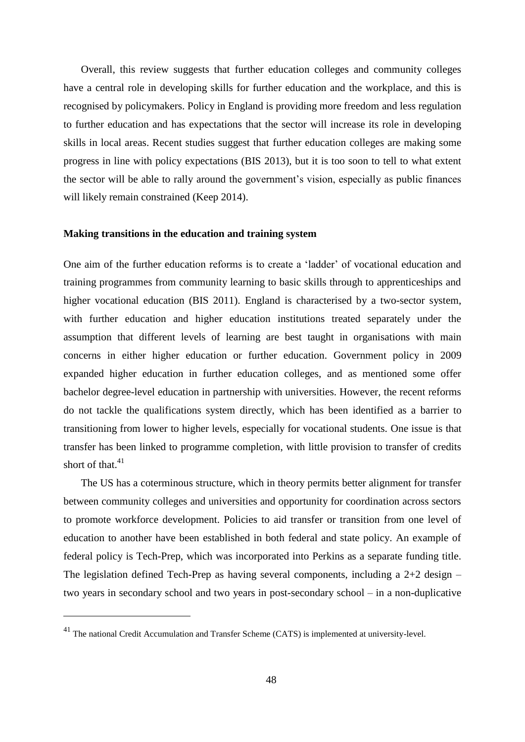Overall, this review suggests that further education colleges and community colleges have a central role in developing skills for further education and the workplace, and this is recognised by policymakers. Policy in England is providing more freedom and less regulation to further education and has expectations that the sector will increase its role in developing skills in local areas. Recent studies suggest that further education colleges are making some progress in line with policy expectations (BIS 2013), but it is too soon to tell to what extent the sector will be able to rally around the government's vision, especially as public finances will likely remain constrained (Keep 2014).

#### **Making transitions in the education and training system**

One aim of the further education reforms is to create a 'ladder' of vocational education and training programmes from community learning to basic skills through to apprenticeships and higher vocational education (BIS 2011). England is characterised by a two-sector system, with further education and higher education institutions treated separately under the assumption that different levels of learning are best taught in organisations with main concerns in either higher education or further education. Government policy in 2009 expanded higher education in further education colleges, and as mentioned some offer bachelor degree-level education in partnership with universities. However, the recent reforms do not tackle the qualifications system directly, which has been identified as a barrier to transitioning from lower to higher levels, especially for vocational students. One issue is that transfer has been linked to programme completion, with little provision to transfer of credits short of that. $41$ 

The US has a coterminous structure, which in theory permits better alignment for transfer between community colleges and universities and opportunity for coordination across sectors to promote workforce development. Policies to aid transfer or transition from one level of education to another have been established in both federal and state policy. An example of federal policy is Tech-Prep, which was incorporated into Perkins as a separate funding title. The legislation defined Tech-Prep as having several components, including a 2+2 design – two years in secondary school and two years in post-secondary school – in a non-duplicative

<u>.</u>

<sup>&</sup>lt;sup>41</sup> The national Credit Accumulation and Transfer Scheme (CATS) is implemented at university-level.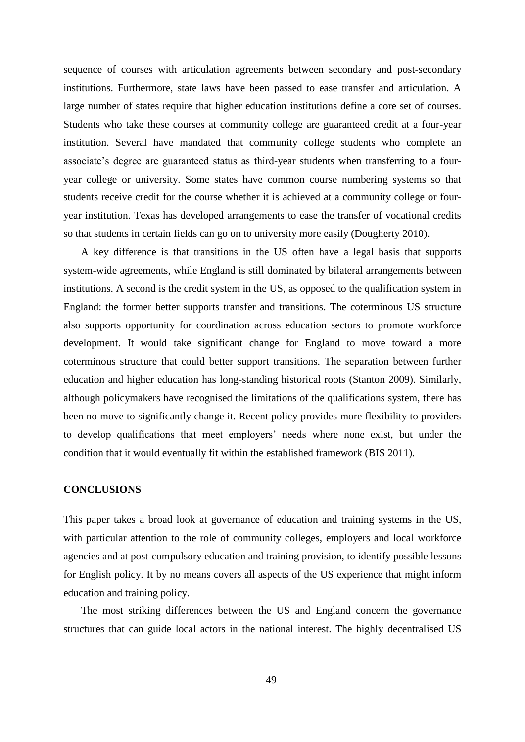sequence of courses with articulation agreements between secondary and post-secondary institutions. Furthermore, state laws have been passed to ease transfer and articulation. A large number of states require that higher education institutions define a core set of courses. Students who take these courses at community college are guaranteed credit at a four-year institution. Several have mandated that community college students who complete an associate's degree are guaranteed status as third-year students when transferring to a fouryear college or university. Some states have common course numbering systems so that students receive credit for the course whether it is achieved at a community college or fouryear institution. Texas has developed arrangements to ease the transfer of vocational credits so that students in certain fields can go on to university more easily (Dougherty 2010).

A key difference is that transitions in the US often have a legal basis that supports system-wide agreements, while England is still dominated by bilateral arrangements between institutions. A second is the credit system in the US, as opposed to the qualification system in England: the former better supports transfer and transitions. The coterminous US structure also supports opportunity for coordination across education sectors to promote workforce development. It would take significant change for England to move toward a more coterminous structure that could better support transitions. The separation between further education and higher education has long-standing historical roots (Stanton 2009). Similarly, although policymakers have recognised the limitations of the qualifications system, there has been no move to significantly change it. Recent policy provides more flexibility to providers to develop qualifications that meet employers' needs where none exist, but under the condition that it would eventually fit within the established framework (BIS 2011).

#### **CONCLUSIONS**

This paper takes a broad look at governance of education and training systems in the US, with particular attention to the role of community colleges, employers and local workforce agencies and at post-compulsory education and training provision, to identify possible lessons for English policy. It by no means covers all aspects of the US experience that might inform education and training policy.

The most striking differences between the US and England concern the governance structures that can guide local actors in the national interest. The highly decentralised US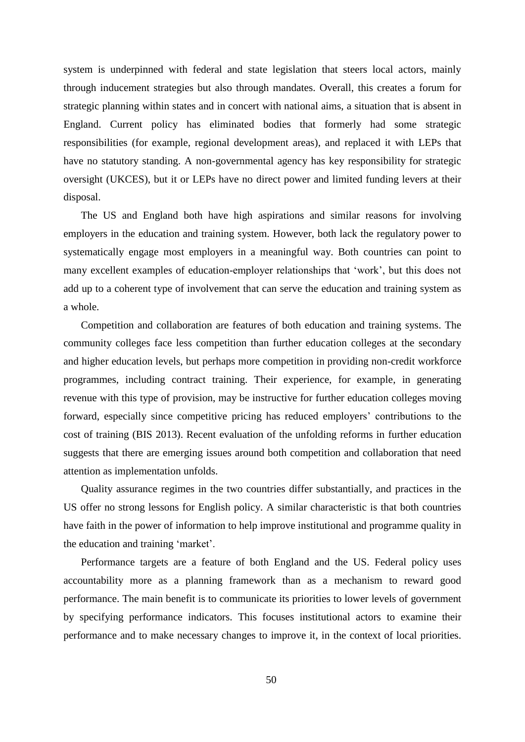system is underpinned with federal and state legislation that steers local actors, mainly through inducement strategies but also through mandates. Overall, this creates a forum for strategic planning within states and in concert with national aims, a situation that is absent in England. Current policy has eliminated bodies that formerly had some strategic responsibilities (for example, regional development areas), and replaced it with LEPs that have no statutory standing. A non-governmental agency has key responsibility for strategic oversight (UKCES), but it or LEPs have no direct power and limited funding levers at their disposal.

The US and England both have high aspirations and similar reasons for involving employers in the education and training system. However, both lack the regulatory power to systematically engage most employers in a meaningful way. Both countries can point to many excellent examples of education-employer relationships that 'work', but this does not add up to a coherent type of involvement that can serve the education and training system as a whole.

Competition and collaboration are features of both education and training systems. The community colleges face less competition than further education colleges at the secondary and higher education levels, but perhaps more competition in providing non-credit workforce programmes, including contract training. Their experience, for example, in generating revenue with this type of provision, may be instructive for further education colleges moving forward, especially since competitive pricing has reduced employers' contributions to the cost of training (BIS 2013). Recent evaluation of the unfolding reforms in further education suggests that there are emerging issues around both competition and collaboration that need attention as implementation unfolds.

Quality assurance regimes in the two countries differ substantially, and practices in the US offer no strong lessons for English policy. A similar characteristic is that both countries have faith in the power of information to help improve institutional and programme quality in the education and training 'market'.

Performance targets are a feature of both England and the US. Federal policy uses accountability more as a planning framework than as a mechanism to reward good performance. The main benefit is to communicate its priorities to lower levels of government by specifying performance indicators. This focuses institutional actors to examine their performance and to make necessary changes to improve it, in the context of local priorities.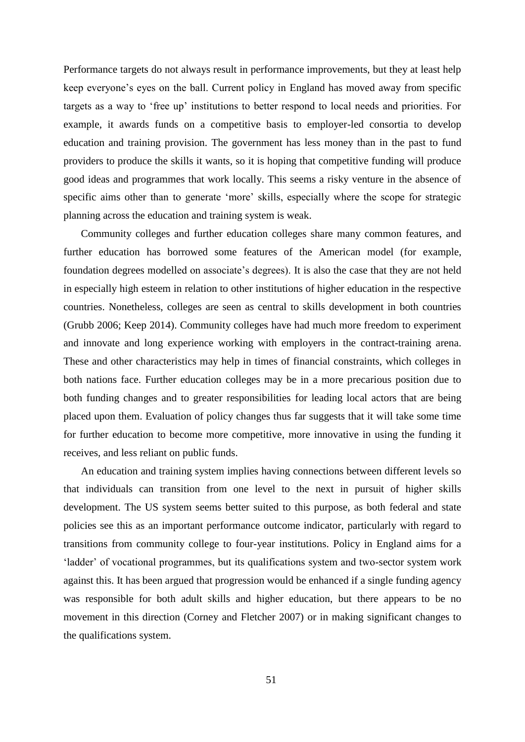Performance targets do not always result in performance improvements, but they at least help keep everyone's eyes on the ball. Current policy in England has moved away from specific targets as a way to 'free up' institutions to better respond to local needs and priorities. For example, it awards funds on a competitive basis to employer-led consortia to develop education and training provision. The government has less money than in the past to fund providers to produce the skills it wants, so it is hoping that competitive funding will produce good ideas and programmes that work locally. This seems a risky venture in the absence of specific aims other than to generate 'more' skills, especially where the scope for strategic planning across the education and training system is weak.

Community colleges and further education colleges share many common features, and further education has borrowed some features of the American model (for example, foundation degrees modelled on associate's degrees). It is also the case that they are not held in especially high esteem in relation to other institutions of higher education in the respective countries. Nonetheless, colleges are seen as central to skills development in both countries (Grubb 2006; Keep 2014). Community colleges have had much more freedom to experiment and innovate and long experience working with employers in the contract-training arena. These and other characteristics may help in times of financial constraints, which colleges in both nations face. Further education colleges may be in a more precarious position due to both funding changes and to greater responsibilities for leading local actors that are being placed upon them. Evaluation of policy changes thus far suggests that it will take some time for further education to become more competitive, more innovative in using the funding it receives, and less reliant on public funds.

An education and training system implies having connections between different levels so that individuals can transition from one level to the next in pursuit of higher skills development. The US system seems better suited to this purpose, as both federal and state policies see this as an important performance outcome indicator, particularly with regard to transitions from community college to four-year institutions. Policy in England aims for a 'ladder' of vocational programmes, but its qualifications system and two-sector system work against this. It has been argued that progression would be enhanced if a single funding agency was responsible for both adult skills and higher education, but there appears to be no movement in this direction (Corney and Fletcher 2007) or in making significant changes to the qualifications system.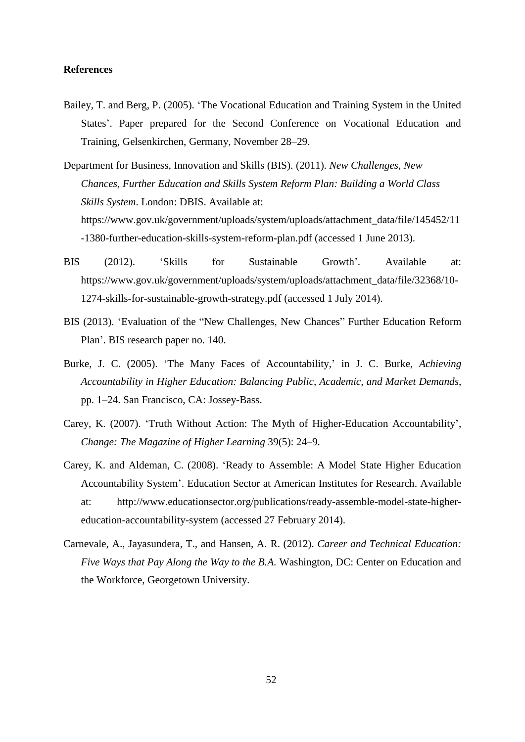#### **References**

- Bailey, T. and Berg, P. (2005). 'The Vocational Education and Training System in the United States'. Paper prepared for the Second Conference on Vocational Education and Training, Gelsenkirchen, Germany, November 28–29.
- Department for Business, Innovation and Skills (BIS). (2011). *New Challenges, New Chances, Further Education and Skills System Reform Plan: Building a World Class Skills System*. London: DBIS. Available at: https://www.gov.uk/government/uploads/system/uploads/attachment\_data/file/145452/11 -1380-further-education-skills-system-reform-plan.pdf (accessed 1 June 2013).
- BIS (2012). 'Skills for Sustainable Growth'*.* Available at: https://www.gov.uk/government/uploads/system/uploads/attachment\_data/file/32368/10- 1274-skills-for-sustainable-growth-strategy.pdf (accessed 1 July 2014).
- BIS (2013). 'Evaluation of the "New Challenges, New Chances" Further Education Reform Plan'. BIS research paper no. 140.
- Burke, J. C. (2005). 'The Many Faces of Accountability,' in J. C. Burke, *Achieving Accountability in Higher Education: Balancing Public, Academic, and Market Demands*, pp. 1–24. San Francisco, CA: Jossey-Bass.
- Carey, K. (2007). 'Truth Without Action: The Myth of Higher-Education Accountability', *Change: The Magazine of Higher Learning* 39(5): 24–9.
- Carey, K. and Aldeman, C. (2008). 'Ready to Assemble: A Model State Higher Education Accountability System'. Education Sector at American Institutes for Research. Available at: http://www.educationsector.org/publications/ready-assemble-model-state-highereducation-accountability-system (accessed 27 February 2014).
- Carnevale, A., Jayasundera, T., and Hansen, A. R. (2012). *Career and Technical Education: Five Ways that Pay Along the Way to the B.A.* Washington, DC: Center on Education and the Workforce, Georgetown University.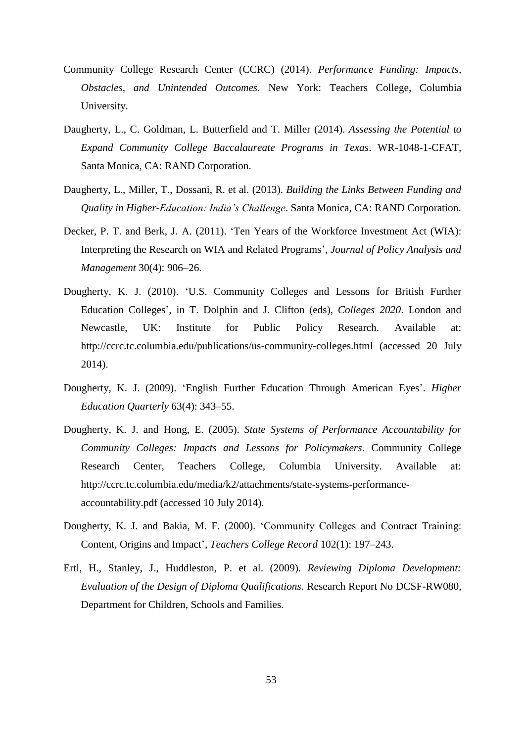- Community College Research Center (CCRC) (2014). *Performance Funding: Impacts, Obstacles, and Unintended Outcomes*. New York: Teachers College, Columbia University.
- Daugherty, L., C. Goldman, L. Butterfield and T. Miller (2014). *Assessing the Potential to Expand Community College Baccalaureate Programs in Texas*. WR-1048-1-CFAT, Santa Monica, CA: RAND Corporation.
- Daugherty, L., Miller, T., Dossani, R. et al. (2013). *Building the Links Between Funding and Quality in Higher-Education: India's Challenge*. Santa Monica, CA: RAND Corporation.
- Decker, P. T. and Berk, J. A. (2011). 'Ten Years of the Workforce Investment Act (WIA): Interpreting the Research on WIA and Related Programs', *Journal of Policy Analysis and Management* 30(4): 906–26.
- Dougherty, K. J. (2010). 'U.S. Community Colleges and Lessons for British Further Education Colleges', in T. Dolphin and J. Clifton (eds), *Colleges 2020*. London and Newcastle, UK: Institute for Public Policy Research. Available at: http://ccrc.tc.columbia.edu/publications/us-community-colleges.html (accessed 20 July 2014).
- Dougherty, K. J. (2009). 'English Further Education Through American Eyes'. *Higher Education Quarterly* 63(4): 343–55.
- Dougherty, K. J. and Hong, E. (2005). *State Systems of Performance Accountability for Community Colleges: Impacts and Lessons for Policymakers*. Community College Research Center, Teachers College, Columbia University. Available at: http://ccrc.tc.columbia.edu/media/k2/attachments/state-systems-performanceaccountability.pdf (accessed 10 July 2014).
- Dougherty, K. J. and Bakia, M. F. (2000). 'Community Colleges and Contract Training: Content, Origins and Impact', *Teachers College Record* 102(1): 197–243.
- Ertl, H., Stanley, J., Huddleston, P. et al. (2009). *Reviewing Diploma Development: Evaluation of the Design of Diploma Qualifications.* Research Report No DCSF-RW080, Department for Children, Schools and Families.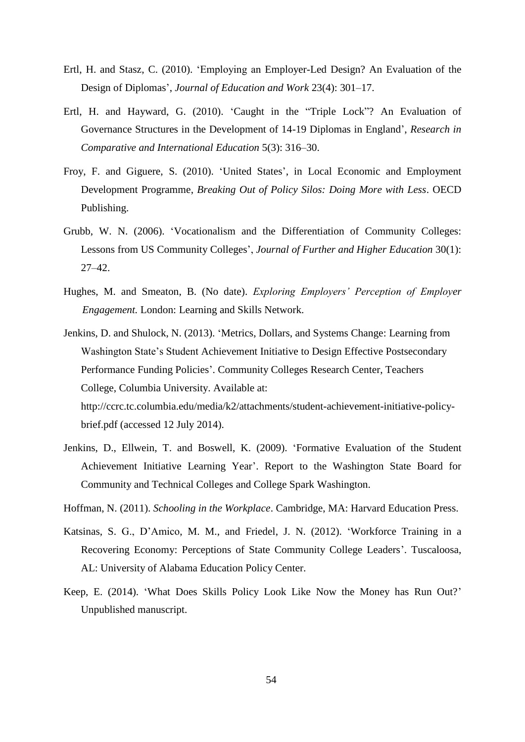- Ertl, H. and Stasz, C. (2010). 'Employing an Employer-Led Design? An Evaluation of the Design of Diplomas', *Journal of Education and Work* 23(4): 301–17.
- Ertl, H. and Hayward, G. (2010). 'Caught in the "Triple Lock"? An Evaluation of Governance Structures in the Development of 14-19 Diplomas in England', *Research in Comparative and International Education* 5(3): 316–30.
- Froy, F. and Giguere, S. (2010). 'United States', in Local Economic and Employment Development Programme, *Breaking Out of Policy Silos: Doing More with Less*. OECD Publishing.
- Grubb, W. N. (2006). 'Vocationalism and the Differentiation of Community Colleges: Lessons from US Community Colleges', *Journal of Further and Higher Education* 30(1): 27–42.
- Hughes, M. and Smeaton, B. (No date). *Exploring Employers' Perception of Employer Engagement.* London: Learning and Skills Network.
- Jenkins, D. and Shulock, N. (2013). 'Metrics, Dollars, and Systems Change: Learning from Washington State's Student Achievement Initiative to Design Effective Postsecondary Performance Funding Policies'. Community Colleges Research Center, Teachers College, Columbia University. Available at: http://ccrc.tc.columbia.edu/media/k2/attachments/student-achievement-initiative-policy-

brief.pdf (accessed 12 July 2014).

- Jenkins, D., Ellwein, T. and Boswell, K. (2009). 'Formative Evaluation of the Student Achievement Initiative Learning Year'. Report to the Washington State Board for Community and Technical Colleges and College Spark Washington.
- Hoffman, N. (2011). *Schooling in the Workplace*. Cambridge, MA: Harvard Education Press.
- Katsinas, S. G., D'Amico, M. M., and Friedel, J. N. (2012). 'Workforce Training in a Recovering Economy: Perceptions of State Community College Leaders'. Tuscaloosa, AL: University of Alabama Education Policy Center.
- Keep, E. (2014). 'What Does Skills Policy Look Like Now the Money has Run Out?' Unpublished manuscript.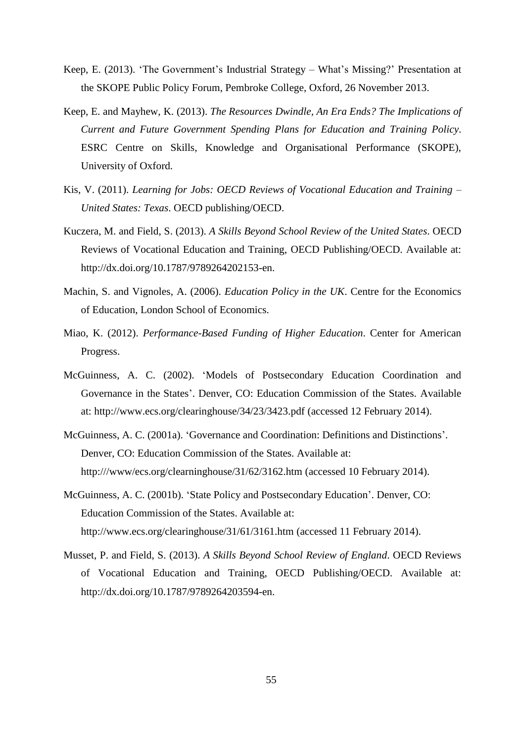- Keep, E. (2013). 'The Government's Industrial Strategy What's Missing?' Presentation at the SKOPE Public Policy Forum, Pembroke College, Oxford, 26 November 2013.
- Keep, E. and Mayhew, K. (2013). *The Resources Dwindle, An Era Ends? The Implications of Current and Future Government Spending Plans for Education and Training Policy*. ESRC Centre on Skills, Knowledge and Organisational Performance (SKOPE), University of Oxford.
- Kis, V. (2011). *Learning for Jobs: OECD Reviews of Vocational Education and Training – United States: Texas*. OECD publishing/OECD.
- Kuczera, M. and Field, S. (2013). *A Skills Beyond School Review of the United States*. OECD Reviews of Vocational Education and Training, OECD Publishing/OECD. Available at: http://dx.doi.org/10.1787/9789264202153-en.
- Machin, S. and Vignoles, A. (2006). *Education Policy in the UK*. Centre for the Economics of Education, London School of Economics.
- Miao, K. (2012). *Performance-Based Funding of Higher Education*. Center for American Progress.
- McGuinness, A. C. (2002). 'Models of Postsecondary Education Coordination and Governance in the States'. Denver, CO: Education Commission of the States. Available at: http://www.ecs.org/clearinghouse/34/23/3423.pdf (accessed 12 February 2014).
- McGuinness, A. C. (2001a). 'Governance and Coordination: Definitions and Distinctions'. Denver, CO: Education Commission of the States. Available at: http:///www/ecs.org/clearninghouse/31/62/3162.htm (accessed 10 February 2014).
- McGuinness, A. C. (2001b). 'State Policy and Postsecondary Education'. Denver, CO: Education Commission of the States. Available at: http://www.ecs.org/clearinghouse/31/61/3161.htm (accessed 11 February 2014).
- Musset, P. and Field, S. (2013). *A Skills Beyond School Review of England*. OECD Reviews of Vocational Education and Training, OECD Publishing/OECD. Available at: http://dx.doi.org/10.1787/9789264203594-en.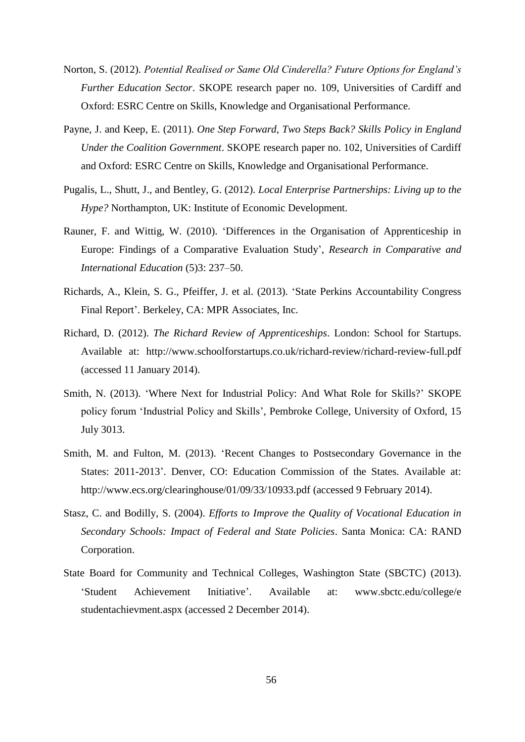- Norton, S. (2012). *Potential Realised or Same Old Cinderella? Future Options for England's Further Education Sector*. SKOPE research paper no. 109, Universities of Cardiff and Oxford: ESRC Centre on Skills, Knowledge and Organisational Performance.
- Payne, J. and Keep, E. (2011). *One Step Forward, Two Steps Back? Skills Policy in England Under the Coalition Government*. SKOPE research paper no. 102, Universities of Cardiff and Oxford: ESRC Centre on Skills, Knowledge and Organisational Performance.
- Pugalis, L., Shutt, J., and Bentley, G. (2012). *Local Enterprise Partnerships: Living up to the Hype?* Northampton, UK: Institute of Economic Development.
- Rauner, F. and Wittig, W. (2010). 'Differences in the Organisation of Apprenticeship in Europe: Findings of a Comparative Evaluation Study', *Research in Comparative and International Education* (5)3: 237–50.
- Richards, A., Klein, S. G., Pfeiffer, J. et al. (2013). 'State Perkins Accountability Congress Final Report'. Berkeley, CA: MPR Associates, Inc.
- Richard, D. (2012). *The Richard Review of Apprenticeships*. London: School for Startups. Available at: http://www.schoolforstartups.co.uk/richard-review/richard-review-full.pdf (accessed 11 January 2014).
- Smith, N. (2013). 'Where Next for Industrial Policy: And What Role for Skills?' SKOPE policy forum 'Industrial Policy and Skills', Pembroke College, University of Oxford, 15 July 3013.
- Smith, M. and Fulton, M. (2013). 'Recent Changes to Postsecondary Governance in the States: 2011-2013'. Denver, CO: Education Commission of the States. Available at: http://www.ecs.org/clearinghouse/01/09/33/10933.pdf (accessed 9 February 2014).
- Stasz, C. and Bodilly, S. (2004). *Efforts to Improve the Quality of Vocational Education in Secondary Schools: Impact of Federal and State Policies*. Santa Monica: CA: RAND Corporation.
- State Board for Community and Technical Colleges, Washington State (SBCTC) (2013). 'Student Achievement Initiative'. Available at: www.sbctc.edu/college/e studentachievment.aspx (accessed 2 December 2014).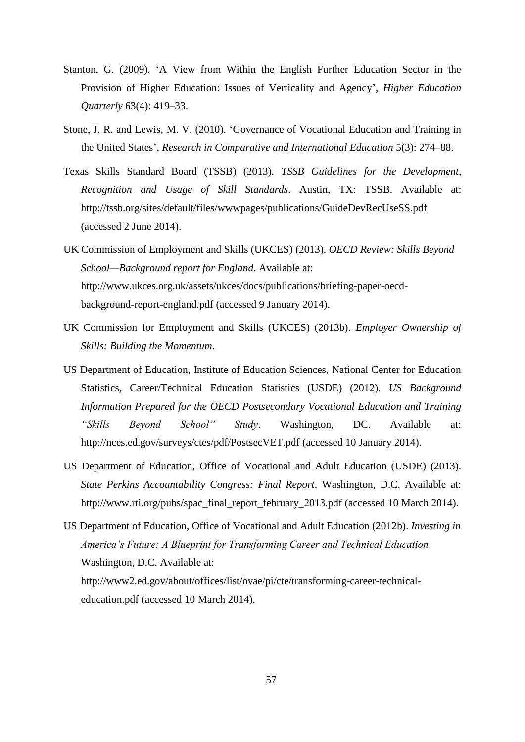- Stanton, G. (2009). 'A View from Within the English Further Education Sector in the Provision of Higher Education: Issues of Verticality and Agency', *Higher Education Quarterly* 63(4): 419–33.
- Stone, J. R. and Lewis, M. V. (2010). 'Governance of Vocational Education and Training in the United States', *Research in Comparative and International Education* 5(3): 274–88.
- Texas Skills Standard Board (TSSB) (2013). *TSSB Guidelines for the Development, Recognition and Usage of Skill Standards*. Austin, TX: TSSB. Available at: http://tssb.org/sites/default/files/wwwpages/publications/GuideDevRecUseSS.pdf (accessed 2 June 2014).
- UK Commission of Employment and Skills (UKCES) (2013). *OECD Review: Skills Beyond School—Background report for England*. Available at: http://www.ukces.org.uk/assets/ukces/docs/publications/briefing-paper-oecdbackground-report-england.pdf (accessed 9 January 2014).
- UK Commission for Employment and Skills (UKCES) (2013b). *Employer Ownership of Skills: Building the Momentum*.
- US Department of Education, Institute of Education Sciences, National Center for Education Statistics, Career/Technical Education Statistics (USDE) (2012). *US Background Information Prepared for the OECD Postsecondary Vocational Education and Training "Skills Beyond School" Study*. Washington, DC. Available at: http://nces.ed.gov/surveys/ctes/pdf/PostsecVET.pdf (accessed 10 January 2014).
- US Department of Education, Office of Vocational and Adult Education (USDE) (2013). *State Perkins Accountability Congress: Final Report*. Washington, D.C. Available at: http://www.rti.org/pubs/spac\_final\_report\_february\_2013.pdf (accessed 10 March 2014).
- US Department of Education, Office of Vocational and Adult Education (2012b). *Investing in America's Future: A Blueprint for Transforming Career and Technical Education*. Washington, D.C. Available at: http://www2.ed.gov/about/offices/list/ovae/pi/cte/transforming-career-technicaleducation.pdf (accessed 10 March 2014).